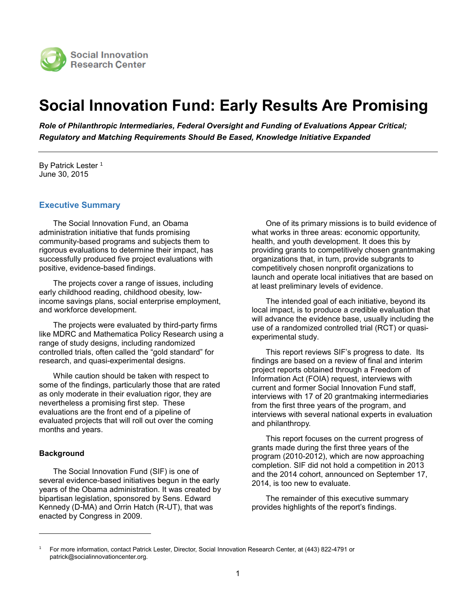

# **Social Innovation Fund: Early Results Are Promising**

*Role of Philanthropic Intermediaries, Federal Oversight and Funding of Evaluations Appear Critical; Regulatory and Matching Requirements Should Be Eased, Knowledge Initiative Expanded*

By Patrick Lester<sup>1</sup> June 30, 2015

## **Executive Summary**

The Social Innovation Fund, an Obama administration initiative that funds promising community-based programs and subjects them to rigorous evaluations to determine their impact, has successfully produced five project evaluations with positive, evidence-based findings.

The projects cover a range of issues, including early childhood reading, childhood obesity, lowincome savings plans, social enterprise employment, and workforce development.

The projects were evaluated by third-party firms like MDRC and Mathematica Policy Research using a range of study designs, including randomized controlled trials, often called the "gold standard" for research, and quasi-experimental designs.

While caution should be taken with respect to some of the findings, particularly those that are rated as only moderate in their evaluation rigor, they are nevertheless a promising first step. These evaluations are the front end of a pipeline of evaluated projects that will roll out over the coming months and years.

#### **Background**

l

The Social Innovation Fund (SIF) is one of several evidence-based initiatives begun in the early years of the Obama administration. It was created by bipartisan legislation, sponsored by Sens. Edward Kennedy (D-MA) and Orrin Hatch (R-UT), that was enacted by Congress in 2009.

One of its primary missions is to build evidence of what works in three areas: economic opportunity, health, and youth development. It does this by providing grants to competitively chosen grantmaking organizations that, in turn, provide subgrants to competitively chosen nonprofit organizations to launch and operate local initiatives that are based on at least preliminary levels of evidence.

The intended goal of each initiative, beyond its local impact, is to produce a credible evaluation that will advance the evidence base, usually including the use of a randomized controlled trial (RCT) or quasiexperimental study.

This report reviews SIF's progress to date. Its findings are based on a review of final and interim project reports obtained through a Freedom of Information Act (FOIA) request, interviews with current and former Social Innovation Fund staff, interviews with 17 of 20 grantmaking intermediaries from the first three years of the program, and interviews with several national experts in evaluation and philanthropy.

This report focuses on the current progress of grants made during the first three years of the program (2010-2012), which are now approaching completion. SIF did not hold a competition in 2013 and the 2014 cohort, announced on September 17, 2014, is too new to evaluate.

The remainder of this executive summary provides highlights of the report's findings.

<sup>1</sup> For more information, contact Patrick Lester, Director, Social Innovation Research Center, at (443) 822-4791 or patrick@socialinnovationcenter.org.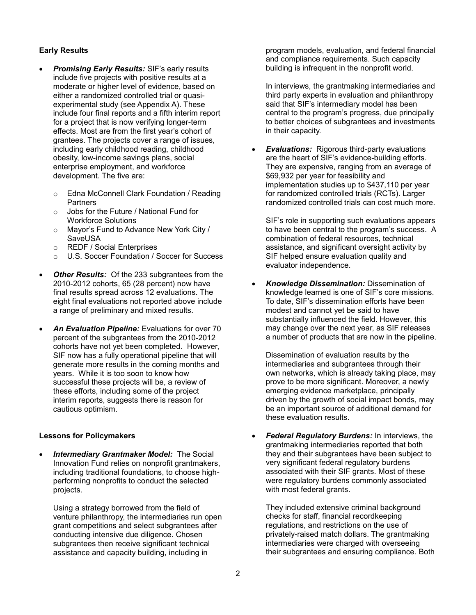## **Early Results**

- *Promising Early Results:* SIF's early results include five projects with positive results at a moderate or higher level of evidence, based on either a randomized controlled trial or quasiexperimental study (see Appendix A). These include four final reports and a fifth interim report for a project that is now verifying longer-term effects. Most are from the first year's cohort of grantees. The projects cover a range of issues, including early childhood reading, childhood obesity, low-income savings plans, social enterprise employment, and workforce development. The five are:
	- o Edna McConnell Clark Foundation / Reading **Partners**
	- o Jobs for the Future / National Fund for Workforce Solutions
	- o Mayor's Fund to Advance New York City / SaveUSA
	- o REDF / Social Enterprises
	- o U.S. Soccer Foundation / Soccer for Success
- **Other Results:** Of the 233 subgrantees from the 2010-2012 cohorts, 65 (28 percent) now have final results spread across 12 evaluations. The eight final evaluations not reported above include a range of preliminary and mixed results.
- *An Evaluation Pipeline:* Evaluations for over 70 percent of the subgrantees from the 2010-2012 cohorts have not yet been completed. However, SIF now has a fully operational pipeline that will generate more results in the coming months and years. While it is too soon to know how successful these projects will be, a review of these efforts, including some of the project interim reports, suggests there is reason for cautious optimism.

#### **Lessons for Policymakers**

 *Intermediary Grantmaker Model:* The Social Innovation Fund relies on nonprofit grantmakers, including traditional foundations, to choose highperforming nonprofits to conduct the selected projects.

Using a strategy borrowed from the field of venture philanthropy, the intermediaries run open grant competitions and select subgrantees after conducting intensive due diligence. Chosen subgrantees then receive significant technical assistance and capacity building, including in

program models, evaluation, and federal financial and compliance requirements. Such capacity building is infrequent in the nonprofit world.

In interviews, the grantmaking intermediaries and third party experts in evaluation and philanthropy said that SIF's intermediary model has been central to the program's progress, due principally to better choices of subgrantees and investments in their capacity.

 *Evaluations:* Rigorous third-party evaluations are the heart of SIF's evidence-building efforts. They are expensive, ranging from an average of \$69,932 per year for feasibility and implementation studies up to \$437,110 per year for randomized controlled trials (RCTs). Larger randomized controlled trials can cost much more.

SIF's role in supporting such evaluations appears to have been central to the program's success. A combination of federal resources, technical assistance, and significant oversight activity by SIF helped ensure evaluation quality and evaluator independence.

 *Knowledge Dissemination:* Dissemination of knowledge learned is one of SIF's core missions. To date, SIF's dissemination efforts have been modest and cannot yet be said to have substantially influenced the field. However, this may change over the next year, as SIF releases a number of products that are now in the pipeline.

Dissemination of evaluation results by the intermediaries and subgrantees through their own networks, which is already taking place, may prove to be more significant. Moreover, a newly emerging evidence marketplace, principally driven by the growth of social impact bonds, may be an important source of additional demand for these evaluation results.

 *Federal Regulatory Burdens:* In interviews, the grantmaking intermediaries reported that both they and their subgrantees have been subject to very significant federal regulatory burdens associated with their SIF grants. Most of these were regulatory burdens commonly associated with most federal grants.

They included extensive criminal background checks for staff, financial recordkeeping regulations, and restrictions on the use of privately-raised match dollars. The grantmaking intermediaries were charged with overseeing their subgrantees and ensuring compliance. Both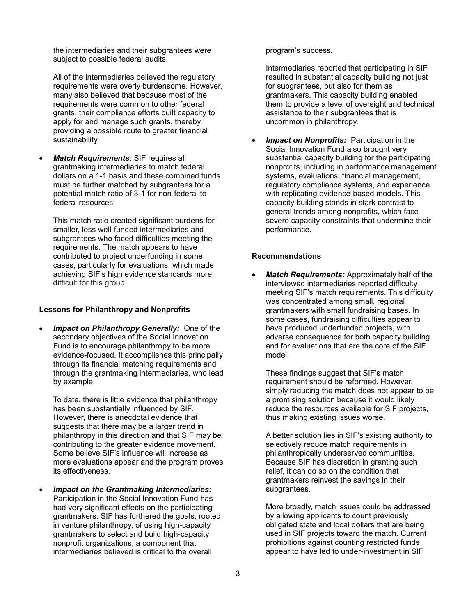the intermediaries and their subgrantees were subject to possible federal audits.

All of the intermediaries believed the regulatory requirements were overly burdensome. However, many also believed that because most of the requirements were common to other federal grants, their compliance efforts built capacity to apply for and manage such grants, thereby providing a possible route to greater financial sustainability.

 *Match Requirements*: SIF requires all grantmaking intermediaries to match federal dollars on a 1-1 basis and these combined funds must be further matched by subgrantees for a potential match ratio of 3-1 for non-federal to federal resources.

This match ratio created significant burdens for smaller, less well-funded intermediaries and subgrantees who faced difficulties meeting the requirements. The match appears to have contributed to project underfunding in some cases, particularly for evaluations, which made achieving SIF's high evidence standards more difficult for this group.

#### **Lessons for Philanthropy and Nonprofits**

 *Impact on Philanthropy Generally:* One of the secondary objectives of the Social Innovation Fund is to encourage philanthropy to be more evidence-focused. It accomplishes this principally through its financial matching requirements and through the grantmaking intermediaries, who lead by example.

To date, there is little evidence that philanthropy has been substantially influenced by SIF. However, there is anecdotal evidence that suggests that there may be a larger trend in philanthropy in this direction and that SIF may be contributing to the greater evidence movement. Some believe SIF's influence will increase as more evaluations appear and the program proves its effectiveness.

 *Impact on the Grantmaking Intermediaries:* Participation in the Social Innovation Fund has had very significant effects on the participating grantmakers. SIF has furthered the goals, rooted in venture philanthropy, of using high-capacity grantmakers to select and build high-capacity nonprofit organizations, a component that intermediaries believed is critical to the overall

program's success.

Intermediaries reported that participating in SIF resulted in substantial capacity building not just for subgrantees, but also for them as grantmakers. This capacity building enabled them to provide a level of oversight and technical assistance to their subgrantees that is uncommon in philanthropy.

 *Impact on Nonprofits:* Participation in the Social Innovation Fund also brought very substantial capacity building for the participating nonprofits, including in performance management systems, evaluations, financial management, regulatory compliance systems, and experience with replicating evidence-based models. This capacity building stands in stark contrast to general trends among nonprofits, which face severe capacity constraints that undermine their performance.

## **Recommendations**

 *Match Requirements:* Approximately half of the interviewed intermediaries reported difficulty meeting SIF's match requirements. This difficulty was concentrated among small, regional grantmakers with small fundraising bases. In some cases, fundraising difficulties appear to have produced underfunded projects, with adverse consequence for both capacity building and for evaluations that are the core of the SIF model.

These findings suggest that SIF's match requirement should be reformed. However, simply reducing the match does not appear to be a promising solution because it would likely reduce the resources available for SIF projects, thus making existing issues worse.

A better solution lies in SIF's existing authority to selectively reduce match requirements in philanthropically underserved communities. Because SIF has discretion in granting such relief, it can do so on the condition that grantmakers reinvest the savings in their subgrantees.

More broadly, match issues could be addressed by allowing applicants to count previously obligated state and local dollars that are being used in SIF projects toward the match. Current prohibitions against counting restricted funds appear to have led to under-investment in SIF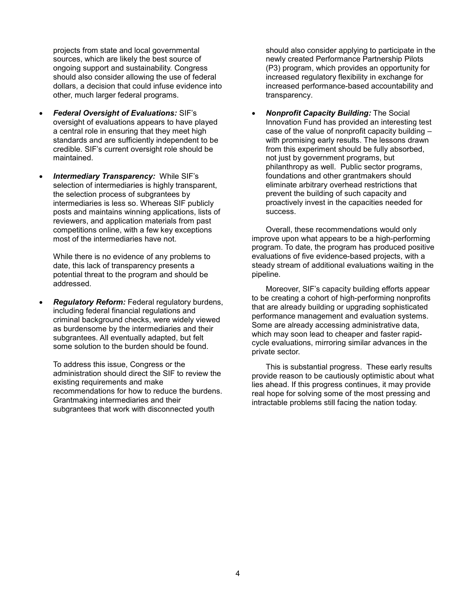projects from state and local governmental sources, which are likely the best source of ongoing support and sustainability. Congress should also consider allowing the use of federal dollars, a decision that could infuse evidence into other, much larger federal programs.

- *Federal Oversight of Evaluations:* SIF's oversight of evaluations appears to have played a central role in ensuring that they meet high standards and are sufficiently independent to be credible. SIF's current oversight role should be maintained.
- *Intermediary Transparency:* While SIF's selection of intermediaries is highly transparent, the selection process of subgrantees by intermediaries is less so. Whereas SIF publicly posts and maintains winning applications, lists of reviewers, and application materials from past competitions online, with a few key exceptions most of the intermediaries have not.

While there is no evidence of any problems to date, this lack of transparency presents a potential threat to the program and should be addressed.

 *Regulatory Reform:* Federal regulatory burdens, including federal financial regulations and criminal background checks, were widely viewed as burdensome by the intermediaries and their subgrantees. All eventually adapted, but felt some solution to the burden should be found.

To address this issue, Congress or the administration should direct the SIF to review the existing requirements and make recommendations for how to reduce the burdens. Grantmaking intermediaries and their subgrantees that work with disconnected youth

should also consider applying to participate in the newly created Performance Partnership Pilots (P3) program, which provides an opportunity for increased regulatory flexibility in exchange for increased performance-based accountability and transparency.

 *Nonprofit Capacity Building:* The Social Innovation Fund has provided an interesting test case of the value of nonprofit capacity building – with promising early results. The lessons drawn from this experiment should be fully absorbed, not just by government programs, but philanthropy as well. Public sector programs, foundations and other grantmakers should eliminate arbitrary overhead restrictions that prevent the building of such capacity and proactively invest in the capacities needed for success.

Overall, these recommendations would only improve upon what appears to be a high-performing program. To date, the program has produced positive evaluations of five evidence-based projects, with a steady stream of additional evaluations waiting in the pipeline.

Moreover, SIF's capacity building efforts appear to be creating a cohort of high-performing nonprofits that are already building or upgrading sophisticated performance management and evaluation systems. Some are already accessing administrative data, which may soon lead to cheaper and faster rapidcycle evaluations, mirroring similar advances in the private sector.

This is substantial progress. These early results provide reason to be cautiously optimistic about what lies ahead. If this progress continues, it may provide real hope for solving some of the most pressing and intractable problems still facing the nation today.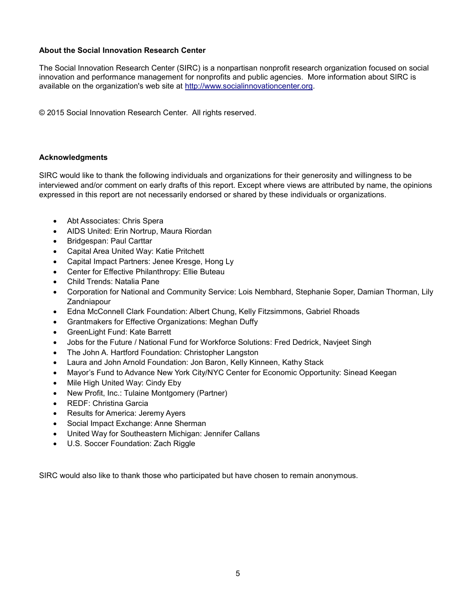## **About the Social Innovation Research Center**

The Social Innovation Research Center (SIRC) is a nonpartisan nonprofit research organization focused on social innovation and performance management for nonprofits and public agencies. More information about SIRC is available on the organization's web site at [http://www.socialinnovationcenter.org.](http://www.socialinnovationcenter.org/)

© 2015 Social Innovation Research Center. All rights reserved.

## **Acknowledgments**

SIRC would like to thank the following individuals and organizations for their generosity and willingness to be interviewed and/or comment on early drafts of this report. Except where views are attributed by name, the opinions expressed in this report are not necessarily endorsed or shared by these individuals or organizations.

- Abt Associates: Chris Spera
- AIDS United: Erin Nortrup, Maura Riordan
- Bridgespan: Paul Carttar
- Capital Area United Way: Katie Pritchett
- Capital Impact Partners: Jenee Kresge, Hong Ly
- Center for Effective Philanthropy: Ellie Buteau
- Child Trends: Natalia Pane
- Corporation for National and Community Service: Lois Nembhard, Stephanie Soper, Damian Thorman, Lily **Zandniapour**
- Edna McConnell Clark Foundation: Albert Chung, Kelly Fitzsimmons, Gabriel Rhoads
- Grantmakers for Effective Organizations: Meghan Duffy
- GreenLight Fund: Kate Barrett
- Jobs for the Future / National Fund for Workforce Solutions: Fred Dedrick, Navjeet Singh
- The John A. Hartford Foundation: Christopher Langston
- Laura and John Arnold Foundation: Jon Baron, Kelly Kinneen, Kathy Stack
- Mayor's Fund to Advance New York City/NYC Center for Economic Opportunity: Sinead Keegan
- Mile High United Way: Cindy Eby
- New Profit, Inc.: Tulaine Montgomery (Partner)
- REDF: Christina Garcia
- Results for America: Jeremy Ayers
- Social Impact Exchange: Anne Sherman
- United Way for Southeastern Michigan: Jennifer Callans
- U.S. Soccer Foundation: Zach Riggle

SIRC would also like to thank those who participated but have chosen to remain anonymous.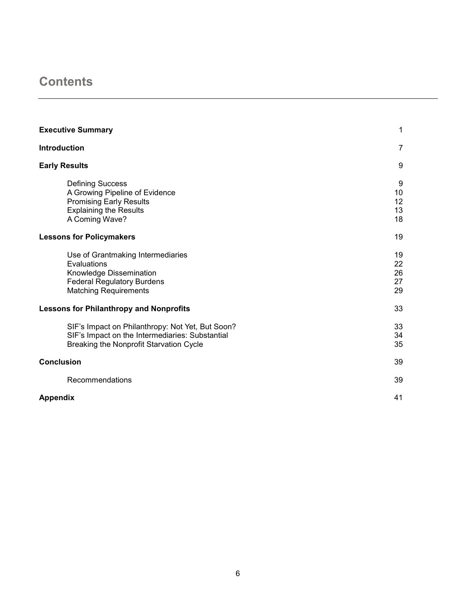# **Contents**

| <b>Executive Summary</b>                                                                                                                         | 1                          |
|--------------------------------------------------------------------------------------------------------------------------------------------------|----------------------------|
| <b>Introduction</b>                                                                                                                              | $\overline{7}$             |
| <b>Early Results</b>                                                                                                                             | 9                          |
| <b>Defining Success</b><br>A Growing Pipeline of Evidence<br><b>Promising Early Results</b><br><b>Explaining the Results</b><br>A Coming Wave?   | 9<br>10<br>12<br>13<br>18  |
| <b>Lessons for Policymakers</b>                                                                                                                  | 19                         |
| Use of Grantmaking Intermediaries<br>Evaluations<br>Knowledge Dissemination<br><b>Federal Regulatory Burdens</b><br><b>Matching Requirements</b> | 19<br>22<br>26<br>27<br>29 |
| <b>Lessons for Philanthropy and Nonprofits</b>                                                                                                   | 33                         |
| SIF's Impact on Philanthropy: Not Yet, But Soon?<br>SIF's Impact on the Intermediaries: Substantial<br>Breaking the Nonprofit Starvation Cycle   | 33<br>34<br>35             |
| <b>Conclusion</b>                                                                                                                                | 39                         |
| Recommendations                                                                                                                                  | 39                         |
| <b>Appendix</b>                                                                                                                                  | 41                         |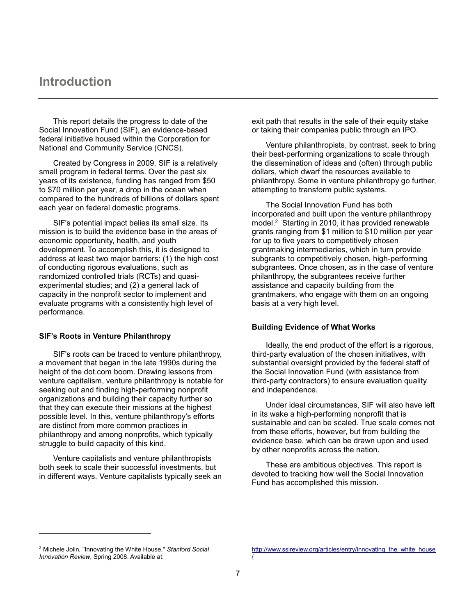## **Introduction**

This report details the progress to date of the Social Innovation Fund (SIF), an evidence-based federal initiative housed within the Corporation for National and Community Service (CNCS).

Created by Congress in 2009, SIF is a relatively small program in federal terms. Over the past six years of its existence, funding has ranged from \$50 to \$70 million per year, a drop in the ocean when compared to the hundreds of billions of dollars spent each year on federal domestic programs.

SIF's potential impact belies its small size. Its mission is to build the evidence base in the areas of economic opportunity, health, and youth development. To accomplish this, it is designed to address at least two major barriers: (1) the high cost of conducting rigorous evaluations, such as randomized controlled trials (RCTs) and quasiexperimental studies; and (2) a general lack of capacity in the nonprofit sector to implement and evaluate programs with a consistently high level of performance.

#### **SIF's Roots in Venture Philanthropy**

SIF's roots can be traced to venture philanthropy, a movement that began in the late 1990s during the height of the dot.com boom. Drawing lessons from venture capitalism, venture philanthropy is notable for seeking out and finding high-performing nonprofit organizations and building their capacity further so that they can execute their missions at the highest possible level. In this, venture philanthropy's efforts are distinct from more common practices in philanthropy and among nonprofits, which typically struggle to build capacity of this kind.

Venture capitalists and venture philanthropists both seek to scale their successful investments, but in different ways. Venture capitalists typically seek an exit path that results in the sale of their equity stake or taking their companies public through an IPO.

Venture philanthropists, by contrast, seek to bring their best-performing organizations to scale through the dissemination of ideas and (often) through public dollars, which dwarf the resources available to philanthropy. Some in venture philanthropy go further, attempting to transform public systems.

The Social Innovation Fund has both incorporated and built upon the venture philanthropy model.<sup>2</sup> Starting in 2010, it has provided renewable grants ranging from \$1 million to \$10 million per year for up to five years to competitively chosen grantmaking intermediaries, which in turn provide subgrants to competitively chosen, high-performing subgrantees. Once chosen, as in the case of venture philanthropy, the subgrantees receive further assistance and capacity building from the grantmakers, who engage with them on an ongoing basis at a very high level.

#### **Building Evidence of What Works**

Ideally, the end product of the effort is a rigorous, third-party evaluation of the chosen initiatives, with substantial oversight provided by the federal staff of the Social Innovation Fund (with assistance from third-party contractors) to ensure evaluation quality and independence.

Under ideal circumstances, SIF will also have left in its wake a high-performing nonprofit that is sustainable and can be scaled. True scale comes not from these efforts, however, but from building the evidence base, which can be drawn upon and used by other nonprofits across the nation.

These are ambitious objectives. This report is devoted to tracking how well the Social Innovation Fund has accomplished this mission.

l

<sup>2</sup> Michele Jolin, "Innovating the White House," *Stanford Social Innovation Review*, Spring 2008. Available at:

[http://www.ssireview.org/articles/entry/innovating\\_the\\_white\\_house](http://www.ssireview.org/articles/entry/innovating_the_white_house/) [/](http://www.ssireview.org/articles/entry/innovating_the_white_house/)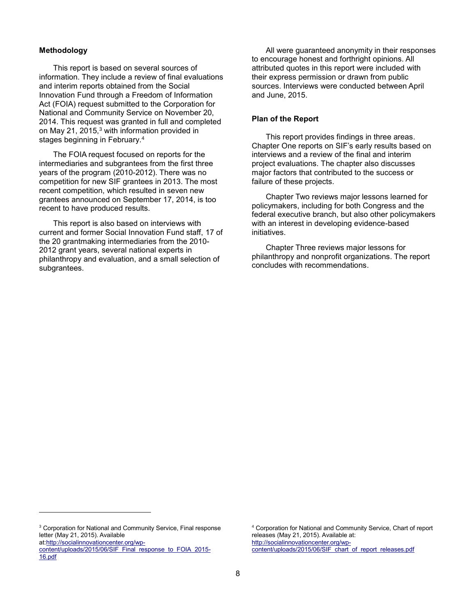#### **Methodology**

This report is based on several sources of information. They include a review of final evaluations and interim reports obtained from the Social Innovation Fund through a Freedom of Information Act (FOIA) request submitted to the Corporation for National and Community Service on November 20, 2014. This request was granted in full and completed on May 21, 2015,<sup>3</sup> with information provided in stages beginning in February. 4

The FOIA request focused on reports for the intermediaries and subgrantees from the first three years of the program (2010-2012). There was no competition for new SIF grantees in 2013. The most recent competition, which resulted in seven new grantees announced on September 17, 2014, is too recent to have produced results.

This report is also based on interviews with current and former Social Innovation Fund staff, 17 of the 20 grantmaking intermediaries from the 2010- 2012 grant years, several national experts in philanthropy and evaluation, and a small selection of subgrantees.

All were guaranteed anonymity in their responses to encourage honest and forthright opinions. All attributed quotes in this report were included with their express permission or drawn from public sources. Interviews were conducted between April and June, 2015.

#### **Plan of the Report**

This report provides findings in three areas. Chapter One reports on SIF's early results based on interviews and a review of the final and interim project evaluations. The chapter also discusses major factors that contributed to the success or failure of these projects.

Chapter Two reviews major lessons learned for policymakers, including for both Congress and the federal executive branch, but also other policymakers with an interest in developing evidence-based initiatives.

Chapter Three reviews major lessons for philanthropy and nonprofit organizations. The report concludes with recommendations.

<sup>3</sup> Corporation for National and Community Service, Final response letter (May 21, 2015). Available

a[t:http://socialinnovationcenter.org/wp-](http://socialinnovationcenter.org/wp-content/uploads/2015/06/SIF_Final_response_to_FOIA_2015-16.pdf)

l

[content/uploads/2015/06/SIF\\_Final\\_response\\_to\\_FOIA\\_2015-](http://socialinnovationcenter.org/wp-content/uploads/2015/06/SIF_Final_response_to_FOIA_2015-16.pdf) [16.pdf](http://socialinnovationcenter.org/wp-content/uploads/2015/06/SIF_Final_response_to_FOIA_2015-16.pdf)

<sup>4</sup> Corporation for National and Community Service, Chart of report releases (May 21, 2015). Available at: [http://socialinnovationcenter.org/wp](http://socialinnovationcenter.org/wp-content/uploads/2015/06/SIF_chart_of_report_releases.pdf)[content/uploads/2015/06/SIF\\_chart\\_of\\_report\\_releases.pdf](http://socialinnovationcenter.org/wp-content/uploads/2015/06/SIF_chart_of_report_releases.pdf)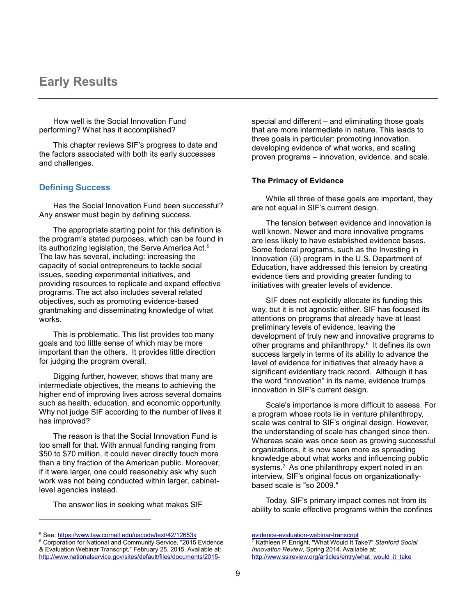## **Early Results**

How well is the Social Innovation Fund performing? What has it accomplished?

This chapter reviews SIF's progress to date and the factors associated with both its early successes and challenges.

## **Defining Success**

Has the Social Innovation Fund been successful? Any answer must begin by defining success.

The appropriate starting point for this definition is the program's stated purposes, which can be found in its authorizing legislation, the Serve America Act.<sup>5</sup> The law has several, including: increasing the capacity of social entrepreneurs to tackle social issues, seeding experimental initiatives, and providing resources to replicate and expand effective programs. The act also includes several related objectives, such as promoting evidence-based grantmaking and disseminating knowledge of what works.

This is problematic. This list provides too many goals and too little sense of which may be more important than the others. It provides little direction for judging the program overall.

Digging further, however, shows that many are intermediate objectives, the means to achieving the higher end of improving lives across several domains such as health, education, and economic opportunity. Why not judge SIF according to the number of lives it has improved?

The reason is that the Social Innovation Fund is too small for that. With annual funding ranging from \$50 to \$70 million, it could never directly touch more than a tiny fraction of the American public. Moreover, if it were larger, one could reasonably ask why such work was not being conducted within larger, cabinetlevel agencies instead.

The answer lies in seeking what makes SIF

l

special and different – and eliminating those goals that are more intermediate in nature. This leads to three goals in particular: promoting innovation, developing evidence of what works, and scaling proven programs – innovation, evidence, and scale.

#### **The Primacy of Evidence**

While all three of these goals are important, they are not equal in SIF's current design.

The tension between evidence and innovation is well known. Newer and more innovative programs are less likely to have established evidence bases. Some federal programs, such as the Investing in Innovation (i3) program in the U.S. Department of Education, have addressed this tension by creating evidence tiers and providing greater funding to initiatives with greater levels of evidence.

SIF does not explicitly allocate its funding this way, but it is not agnostic either. SIF has focused its attentions on programs that already have at least preliminary levels of evidence, leaving the development of truly new and innovative programs to other programs and philanthropy.<sup>6</sup> It defines its own success largely in terms of its ability to advance the level of evidence for initiatives that already have a significant evidentiary track record. Although it has the word "innovation" in its name, evidence trumps innovation in SIF's current design.

Scale's importance is more difficult to assess. For a program whose roots lie in venture philanthropy, scale was central to SIF's original design. However, the understanding of scale has changed since then. Whereas scale was once seen as growing successful organizations, it is now seen more as spreading knowledge about what works and influencing public systems.<sup>7</sup> As one philanthropy expert noted in an interview, SIF's original focus on organizationallybased scale is "so 2009."

Today, SIF's primary impact comes not from its ability to scale effective programs within the confines

<sup>5</sup> See:<https://www.law.cornell.edu/uscode/text/42/12653k>

<sup>&</sup>lt;sup>6</sup> Corporation for National and Community Service, "2015 Evidence & Evaluation Webinar Transcript," February 25, 2015. Available at: [http://www.nationalservice.gov/sites/default/files/documents/2015-](http://www.nationalservice.gov/sites/default/files/documents/2015-evidence-evaluation-webinar-transcript)

[evidence-evaluation-webinar-transcript](http://www.nationalservice.gov/sites/default/files/documents/2015-evidence-evaluation-webinar-transcript)

<sup>7</sup> Kathleen P. Enright, "What Would It Take?" *Stanford Social Innovation Review*, Spring 2014. Available at: [http://www.ssireview.org/articles/entry/what\\_would\\_it\\_take](http://www.ssireview.org/articles/entry/what_would_it_take)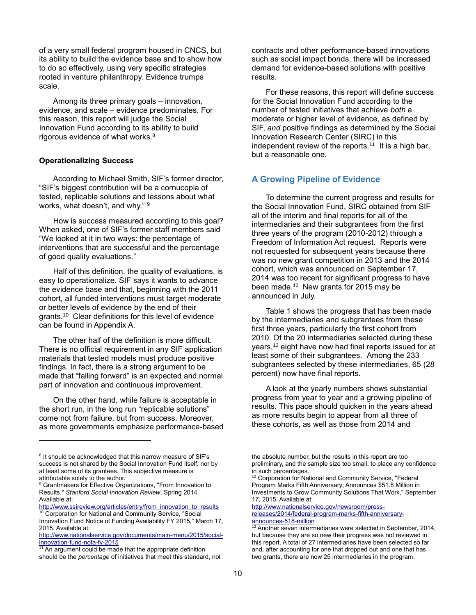of a very small federal program housed in CNCS, but its ability to build the evidence base and to show how to do so effectively, using very specific strategies rooted in venture philanthropy. Evidence trumps scale.

Among its three primary goals – innovation, evidence, and scale – evidence predominates. For this reason, this report will judge the Social Innovation Fund according to its ability to build rigorous evidence of what works.<sup>8</sup>

#### **Operationalizing Success**

According to Michael Smith, SIF's former director, "SIF's biggest contribution will be a cornucopia of tested, replicable solutions and lessons about what works, what doesn't, and why." <sup>9</sup>

How is success measured according to this goal? When asked, one of SIF's former staff members said "We looked at it in two ways: the percentage of interventions that are successful and the percentage of good quality evaluations."

Half of this definition, the quality of evaluations, is easy to operationalize. SIF says it wants to advance the evidence base and that, beginning with the 2011 cohort, all funded interventions must target moderate or better levels of evidence by the end of their grants.<sup>10</sup> Clear definitions for this level of evidence can be found in Appendix A.

The other half of the definition is more difficult. There is no official requirement in any SIF application materials that tested models must produce positive findings. In fact, there is a strong argument to be made that "failing forward" is an expected and normal part of innovation and continuous improvement.

On the other hand, while failure is acceptable in the short run, in the long run "replicable solutions" come not from failure, but from success. Moreover, as more governments emphasize performance-based

l

contracts and other performance-based innovations such as social impact bonds, there will be increased demand for evidence-based solutions with positive results.

For these reasons, this report will define success for the Social Innovation Fund according to the number of tested initiatives that achieve *both* a moderate or higher level of evidence, as defined by SIF, *and* positive findings as determined by the Social Innovation Research Center (SIRC) in this independent review of the reports. <sup>11</sup> It is a high bar, but a reasonable one.

## **A Growing Pipeline of Evidence**

To determine the current progress and results for the Social Innovation Fund, SIRC obtained from SIF all of the interim and final reports for all of the intermediaries and their subgrantees from the first three years of the program (2010-2012) through a Freedom of Information Act request. Reports were not requested for subsequent years because there was no new grant competition in 2013 and the 2014 cohort, which was announced on September 17, 2014 was too recent for significant progress to have been made.<sup>12</sup> New grants for 2015 may be announced in July.

Table 1 shows the progress that has been made by the intermediaries and subgrantees from these first three years, particularly the first cohort from 2010. Of the 20 intermediaries selected during these years,<sup>13</sup> eight have now had final reports issued for at least some of their subgrantees. Among the 233 subgrantees selected by these intermediaries, 65 (28 percent) now have final reports.

A look at the yearly numbers shows substantial progress from year to year and a growing pipeline of results. This pace should quicken in the years ahead as more results begin to appear from all three of these cohorts, as well as those from 2014 and

[http://www.nationalservice.gov/newsroom/press](http://www.nationalservice.gov/newsroom/press-releases/2014/federal-program-marks-fifth-anniversary-announces-518-million)[releases/2014/federal-program-marks-fifth-anniversary](http://www.nationalservice.gov/newsroom/press-releases/2014/federal-program-marks-fifth-anniversary-announces-518-million)[announces-518-million](http://www.nationalservice.gov/newsroom/press-releases/2014/federal-program-marks-fifth-anniversary-announces-518-million)

<sup>&</sup>lt;sup>8</sup> It should be acknowledged that this narrow measure of SIF's success is not shared by the Social Innovation Fund itself, nor by at least some of its grantees. This subjective measure is attributable solely to the author.

<sup>&</sup>lt;sup>9</sup> Grantmakers for Effective Organizations, "From Innovation to Results," *Stanford Social Innovation Review*, Spring 2014. Available at:

[http://www.ssireview.org/articles/entry/from\\_innovation\\_to\\_results](http://www.ssireview.org/articles/entry/from_innovation_to_results) <sup>10</sup> Corporation for National and Community Service, "Social

Innovation Fund Notice of Funding Availability FY 2015," March 17, 2015. Available at: [http://www.nationalservice.gov/documents/main-menu/2015/social-](http://www.nationalservice.gov/documents/main-menu/2015/social-innovation-fund-nofa-fy-2015)

[innovation-fund-nofa-fy-2015](http://www.nationalservice.gov/documents/main-menu/2015/social-innovation-fund-nofa-fy-2015)

<sup>&</sup>lt;sup>11</sup> An argument could be made that the appropriate definition should be the *percentage* of initiatives that meet this standard, not

the absolute number, but the results in this report are too preliminary, and the sample size too small, to place any confidence in such percentages.

<sup>&</sup>lt;sup>12</sup> Corporation for National and Community Service, "Federal Program Marks Fifth Anniversary; Announces \$51.8 Million in Investments to Grow Community Solutions That Work," September 17, 2015. Available at:

<sup>&</sup>lt;sup>13</sup> Another seven intermediaries were selected in September, 2014, but because they are so new their progress was not reviewed in this report. A total of 27 intermediaries have been selected so far and, after accounting for one that dropped out and one that has two grants, there are now 25 intermediaries in the program.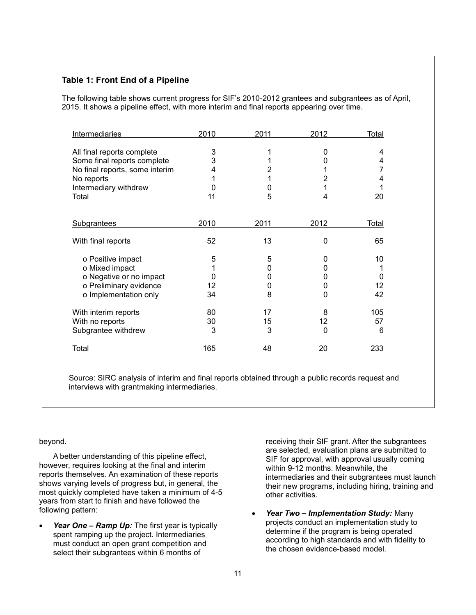## **Table 1: Front End of a Pipeline**

The following table shows current progress for SIF's 2010-2012 grantees and subgrantees as of April, 2015. It shows a pipeline effect, with more interim and final reports appearing over time.

| Intermediaries                                                                                                                              | 2010                   | 2011                  | 2012                  | Total                  |
|---------------------------------------------------------------------------------------------------------------------------------------------|------------------------|-----------------------|-----------------------|------------------------|
| All final reports complete<br>Some final reports complete<br>No final reports, some interim<br>No reports<br>Intermediary withdrew<br>Total | 3<br>3<br>4<br>O<br>11 | 1<br>2<br>1<br>0<br>5 | 0<br>O<br>2<br>4      | 4<br>4<br>7<br>4<br>20 |
| <b>Subgrantees</b>                                                                                                                          | 2010                   | 2011                  | 2012                  | Total                  |
| With final reports                                                                                                                          | 52                     | 13                    | $\Omega$              | 65                     |
| o Positive impact<br>o Mixed impact<br>o Negative or no impact<br>o Preliminary evidence<br>o Implementation only                           | 5<br>O<br>12<br>34     | 5<br>0<br>0<br>0<br>8 | 0<br>0<br>0<br>0<br>0 | 10<br>0<br>12<br>42    |
| With interim reports<br>With no reports<br>Subgrantee withdrew                                                                              | 80<br>30<br>3          | 17<br>15<br>3         | 8<br>12<br>0          | 105<br>57<br>6         |
| Total                                                                                                                                       | 165                    | 48                    | 20                    | 233                    |

Source: SIRC analysis of interim and final reports obtained through a public records request and interviews with grantmaking intermediaries.

#### beyond.

A better understanding of this pipeline effect, however, requires looking at the final and interim reports themselves. An examination of these reports shows varying levels of progress but, in general, the most quickly completed have taken a minimum of 4-5 years from start to finish and have followed the following pattern:

Year One – Ramp Up: The first year is typically spent ramping up the project. Intermediaries must conduct an open grant competition and select their subgrantees within 6 months of

receiving their SIF grant. After the subgrantees are selected, evaluation plans are submitted to SIF for approval, with approval usually coming within 9-12 months. Meanwhile, the intermediaries and their subgrantees must launch their new programs, including hiring, training and other activities.

 *Year Two – Implementation Study:* Many projects conduct an implementation study to determine if the program is being operated according to high standards and with fidelity to the chosen evidence-based model.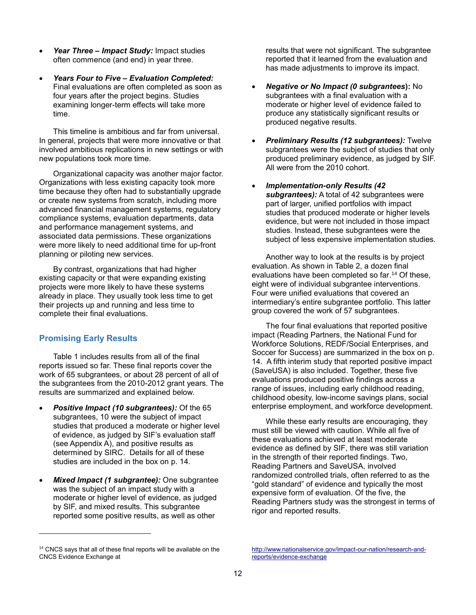- *Year Three – Impact Study:* Impact studies often commence (and end) in year three.
- *Years Four to Five – Evaluation Completed:* Final evaluations are often completed as soon as four years after the project begins. Studies examining longer-term effects will take more time.

This timeline is ambitious and far from universal. In general, projects that were more innovative or that involved ambitious replications in new settings or with new populations took more time.

Organizational capacity was another major factor. Organizations with less existing capacity took more time because they often had to substantially upgrade or create new systems from scratch, including more advanced financial management systems, regulatory compliance systems, evaluation departments, data and performance management systems, and associated data permissions. These organizations were more likely to need additional time for up-front planning or piloting new services.

By contrast, organizations that had higher existing capacity or that were expanding existing projects were more likely to have these systems already in place. They usually took less time to get their projects up and running and less time to complete their final evaluations.

## **Promising Early Results**

l

Table 1 includes results from all of the final reports issued so far. These final reports cover the work of 65 subgrantees, or about 28 percent of all of the subgrantees from the 2010-2012 grant years. The results are summarized and explained below.

- *Positive Impact (10 subgrantees):* Of the 65 subgrantees, 10 were the subject of impact studies that produced a moderate or higher level of evidence, as judged by SIF's evaluation staff (see Appendix A), and positive results as determined by SIRC. Details for all of these studies are included in the box on p. 14.
- *Mixed Impact (1 subgrantee):* One subgrantee was the subject of an impact study with a moderate or higher level of evidence, as judged by SIF, and mixed results. This subgrantee reported some positive results, as well as other

results that were not significant. The subgrantee reported that it learned from the evaluation and has made adjustments to improve its impact.

- *Negative or No Impact (0 subgrantees***):** No subgrantees with a final evaluation with a moderate or higher level of evidence failed to produce any statistically significant results or produced negative results.
- *Preliminary Results (12 subgrantees):* Twelve subgrantees were the subject of studies that only produced preliminary evidence, as judged by SIF. All were from the 2010 cohort.
- *Implementation-only Results (42 subgrantees):* A total of 42 subgrantees were part of larger, unified portfolios with impact studies that produced moderate or higher levels evidence, but were not included in those impact studies. Instead, these subgrantees were the subject of less expensive implementation studies.

Another way to look at the results is by project evaluation. As shown in Table 2, a dozen final evaluations have been completed so far. <sup>14</sup> Of these, eight were of individual subgrantee interventions. Four were unified evaluations that covered an intermediary's entire subgrantee portfolio. This latter group covered the work of 57 subgrantees.

The four final evaluations that reported positive impact (Reading Partners, the National Fund for Workforce Solutions, REDF/Social Enterprises, and Soccer for Success) are summarized in the box on p. 14. A fifth interim study that reported positive impact (SaveUSA) is also included. Together, these five evaluations produced positive findings across a range of issues, including early childhood reading, childhood obesity, low-income savings plans, social enterprise employment, and workforce development.

While these early results are encouraging, they must still be viewed with caution. While all five of these evaluations achieved at least moderate evidence as defined by SIF, there was still variation in the strength of their reported findings. Two, Reading Partners and SaveUSA, involved randomized controlled trials, often referred to as the "gold standard" of evidence and typically the most expensive form of evaluation. Of the five, the Reading Partners study was the strongest in terms of rigor and reported results.

<sup>&</sup>lt;sup>14</sup> CNCS says that all of these final reports will be available on the CNCS Evidence Exchange at

[http://www.nationalservice.gov/impact-our-nation/research-and](http://www.nationalservice.gov/impact-our-nation/research-and-reports/evidence-exchange)[reports/evidence-exchange](http://www.nationalservice.gov/impact-our-nation/research-and-reports/evidence-exchange)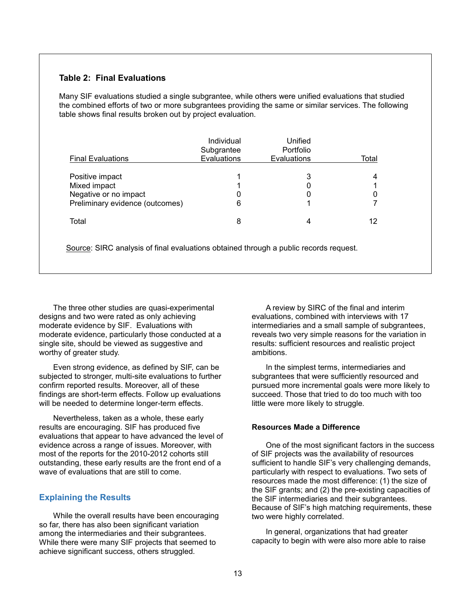## **Table 2: Final Evaluations**

Many SIF evaluations studied a single subgrantee, while others were unified evaluations that studied the combined efforts of two or more subgrantees providing the same or similar services. The following table shows final results broken out by project evaluation.

| <b>Final Evaluations</b>                                                                    | Individual<br>Subgrantee<br>Evaluations | Unified<br>Portfolio<br>Evaluations | Total |
|---------------------------------------------------------------------------------------------|-----------------------------------------|-------------------------------------|-------|
| Positive impact<br>Mixed impact<br>Negative or no impact<br>Preliminary evidence (outcomes) | 6                                       | 3                                   |       |
| Total                                                                                       | 8                                       |                                     | 12    |

Source: SIRC analysis of final evaluations obtained through a public records request.

The three other studies are quasi-experimental designs and two were rated as only achieving moderate evidence by SIF. Evaluations with moderate evidence, particularly those conducted at a single site, should be viewed as suggestive and worthy of greater study.

Even strong evidence, as defined by SIF, can be subjected to stronger, multi-site evaluations to further confirm reported results. Moreover, all of these findings are short-term effects. Follow up evaluations will be needed to determine longer-term effects.

Nevertheless, taken as a whole, these early results are encouraging. SIF has produced five evaluations that appear to have advanced the level of evidence across a range of issues. Moreover, with most of the reports for the 2010-2012 cohorts still outstanding, these early results are the front end of a wave of evaluations that are still to come.

#### **Explaining the Results**

While the overall results have been encouraging so far, there has also been significant variation among the intermediaries and their subgrantees. While there were many SIF projects that seemed to achieve significant success, others struggled.

A review by SIRC of the final and interim evaluations, combined with interviews with 17 intermediaries and a small sample of subgrantees, reveals two very simple reasons for the variation in results: sufficient resources and realistic project ambitions.

In the simplest terms, intermediaries and subgrantees that were sufficiently resourced and pursued more incremental goals were more likely to succeed. Those that tried to do too much with too little were more likely to struggle.

## **Resources Made a Difference**

One of the most significant factors in the success of SIF projects was the availability of resources sufficient to handle SIF's very challenging demands, particularly with respect to evaluations. Two sets of resources made the most difference: (1) the size of the SIF grants; and (2) the pre-existing capacities of the SIF intermediaries and their subgrantees. Because of SIF's high matching requirements, these two were highly correlated.

In general, organizations that had greater capacity to begin with were also more able to raise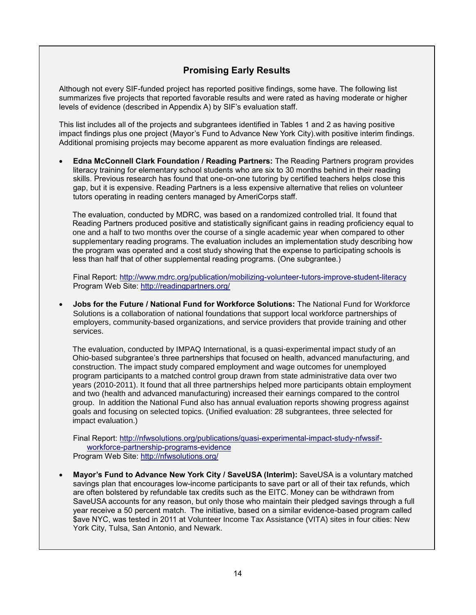## **Promising Early Results**

Although not every SIF-funded project has reported positive findings, some have. The following list summarizes five projects that reported favorable results and were rated as having moderate or higher levels of evidence (described in Appendix A) by SIF's evaluation staff.

This list includes all of the projects and subgrantees identified in Tables 1 and 2 as having positive impact findings plus one project (Mayor's Fund to Advance New York City).with positive interim findings. Additional promising projects may become apparent as more evaluation findings are released.

 **Edna McConnell Clark Foundation / Reading Partners:** The Reading Partners program provides literacy training for elementary school students who are six to 30 months behind in their reading skills. Previous research has found that one-on-one tutoring by certified teachers helps close this gap, but it is expensive. Reading Partners is a less expensive alternative that relies on volunteer tutors operating in reading centers managed by AmeriCorps staff.

The evaluation, conducted by MDRC, was based on a randomized controlled trial. It found that Reading Partners produced positive and statistically significant gains in reading proficiency equal to one and a half to two months over the course of a single academic year when compared to other supplementary reading programs. The evaluation includes an implementation study describing how the program was operated and a cost study showing that the expense to participating schools is less than half that of other supplemental reading programs. (One subgrantee.)

Final Report:<http://www.mdrc.org/publication/mobilizing-volunteer-tutors-improve-student-literacy> Program Web Site:<http://readingpartners.org/>

 **Jobs for the Future / National Fund for Workforce Solutions:** The National Fund for Workforce Solutions is a collaboration of national foundations that support local workforce partnerships of employers, community-based organizations, and service providers that provide training and other services.

The evaluation, conducted by IMPAQ International, is a quasi-experimental impact study of an Ohio-based subgrantee's three partnerships that focused on health, advanced manufacturing, and construction. The impact study compared employment and wage outcomes for unemployed program participants to a matched control group drawn from state administrative data over two years (2010-2011). It found that all three partnerships helped more participants obtain employment and two (health and advanced manufacturing) increased their earnings compared to the control group. In addition the National Fund also has annual evaluation reports showing progress against goals and focusing on selected topics. (Unified evaluation: 28 subgrantees, three selected for impact evaluation.)

Final Report: [http://nfwsolutions.org/publications/quasi-experimental-impact-study-nfwssif](http://nfwsolutions.org/publications/quasi-experimental-impact-study-nfwssif-workforce-partnership-programs-evidence)[workforce-partnership-programs-evidence](http://nfwsolutions.org/publications/quasi-experimental-impact-study-nfwssif-workforce-partnership-programs-evidence) Program Web Site:<http://nfwsolutions.org/>

 **Mayor's Fund to Advance New York City / SaveUSA (Interim):** SaveUSA is a voluntary matched savings plan that encourages low-income participants to save part or all of their tax refunds, which are often bolstered by refundable tax credits such as the EITC. Money can be withdrawn from SaveUSA accounts for any reason, but only those who maintain their pledged savings through a full year receive a 50 percent match. The initiative, based on a similar evidence-based program called \$ave NYC, was tested in 2011 at Volunteer Income Tax Assistance (VITA) sites in four cities: New York City, Tulsa, San Antonio, and Newark.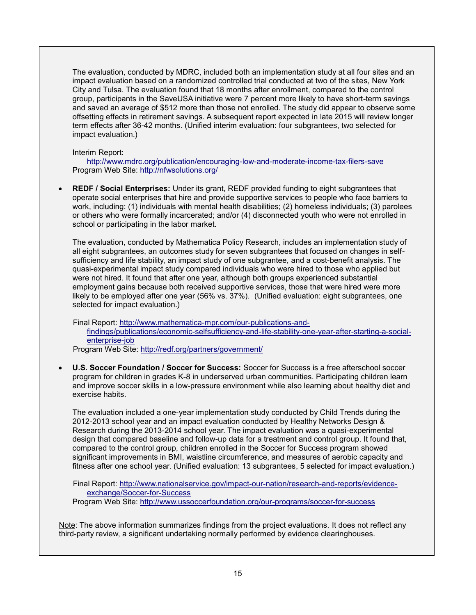The evaluation, conducted by MDRC, included both an implementation study at all four sites and an impact evaluation based on a randomized controlled trial conducted at two of the sites, New York City and Tulsa. The evaluation found that 18 months after enrollment, compared to the control group, participants in the SaveUSA initiative were 7 percent more likely to have short-term savings and saved an average of \$512 more than those not enrolled. The study did appear to observe some offsetting effects in retirement savings. A subsequent report expected in late 2015 will review longer term effects after 36-42 months. (Unified interim evaluation: four subgrantees, two selected for impact evaluation.)

Interim Report:

<http://www.mdrc.org/publication/encouraging-low-and-moderate-income-tax-filers-save> Program Web Site:<http://nfwsolutions.org/>

 **REDF / Social Enterprises:** Under its grant, REDF provided funding to eight subgrantees that operate social enterprises that hire and provide supportive services to people who face barriers to work, including: (1) individuals with mental health disabilities; (2) homeless individuals; (3) parolees or others who were formally incarcerated; and/or (4) disconnected youth who were not enrolled in school or participating in the labor market.

The evaluation, conducted by Mathematica Policy Research, includes an implementation study of all eight subgrantees, an outcomes study for seven subgrantees that focused on changes in selfsufficiency and life stability, an impact study of one subgrantee, and a cost-benefit analysis. The quasi-experimental impact study compared individuals who were hired to those who applied but were not hired. It found that after one year, although both groups experienced substantial employment gains because both received supportive services, those that were hired were more likely to be employed after one year (56% vs. 37%). (Unified evaluation: eight subgrantees, one selected for impact evaluation.)

Final Report: [http://www.mathematica-mpr.com/our-publications-and](http://www.mathematica-mpr.com/our-publications-and-findings/publications/economic-selfsufficiency-and-life-stability-one-year-after-starting-a-social-enterprise-job)[findings/publications/economic-selfsufficiency-and-life-stability-one-year-after-starting-a-social](http://www.mathematica-mpr.com/our-publications-and-findings/publications/economic-selfsufficiency-and-life-stability-one-year-after-starting-a-social-enterprise-job)[enterprise-job](http://www.mathematica-mpr.com/our-publications-and-findings/publications/economic-selfsufficiency-and-life-stability-one-year-after-starting-a-social-enterprise-job) Program Web Site:<http://redf.org/partners/government/>

 **U.S. Soccer Foundation / Soccer for Success:** Soccer for Success is a free afterschool soccer program for children in grades K-8 in underserved urban communities. Participating children learn and improve soccer skills in a low-pressure environment while also learning about healthy diet and exercise habits.

The evaluation included a one-year implementation study conducted by Child Trends during the 2012-2013 school year and an impact evaluation conducted by Healthy Networks Design & Research during the 2013-2014 school year. The impact evaluation was a quasi-experimental design that compared baseline and follow-up data for a treatment and control group. It found that, compared to the control group, children enrolled in the Soccer for Success program showed significant improvements in BMI, waistline circumference, and measures of aerobic capacity and fitness after one school year. (Unified evaluation: 13 subgrantees, 5 selected for impact evaluation.)

Final Report: [http://www.nationalservice.gov/impact-our-nation/research-and-reports/evidence](http://www.nationalservice.gov/impact-our-nation/research-and-reports/evidence-exchange/Soccer-for-Success)[exchange/Soccer-for-Success](http://www.nationalservice.gov/impact-our-nation/research-and-reports/evidence-exchange/Soccer-for-Success) Program Web Site:<http://www.ussoccerfoundation.org/our-programs/soccer-for-success>

Note: The above information summarizes findings from the project evaluations. It does not reflect any third-party review, a significant undertaking normally performed by evidence clearinghouses.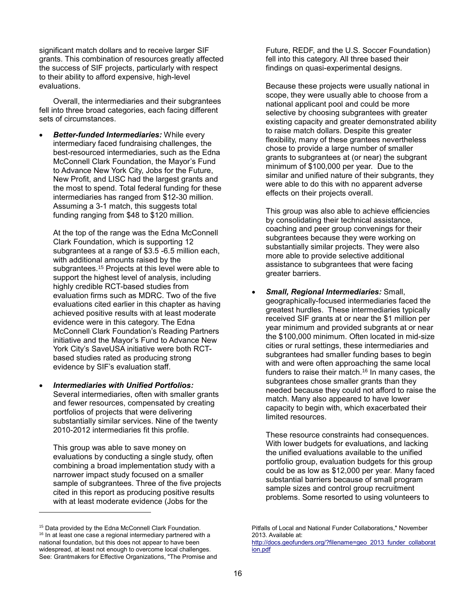significant match dollars and to receive larger SIF grants. This combination of resources greatly affected the success of SIF projects, particularly with respect to their ability to afford expensive, high-level evaluations.

Overall, the intermediaries and their subgrantees fell into three broad categories, each facing different sets of circumstances.

 *Better-funded Intermediaries:* While every intermediary faced fundraising challenges, the best-resourced intermediaries, such as the Edna McConnell Clark Foundation, the Mayor's Fund to Advance New York City, Jobs for the Future, New Profit, and LISC had the largest grants and the most to spend. Total federal funding for these intermediaries has ranged from \$12-30 million. Assuming a 3-1 match, this suggests total funding ranging from \$48 to \$120 million.

At the top of the range was the Edna McConnell Clark Foundation, which is supporting 12 subgrantees at a range of \$3.5 -6.5 million each, with additional amounts raised by the subgrantees. <sup>15</sup> Projects at this level were able to support the highest level of analysis, including highly credible RCT-based studies from evaluation firms such as MDRC. Two of the five evaluations cited earlier in this chapter as having achieved positive results with at least moderate evidence were in this category. The Edna McConnell Clark Foundation's Reading Partners initiative and the Mayor's Fund to Advance New York City's SaveUSA initiative were both RCTbased studies rated as producing strong evidence by SIF's evaluation staff.

 *Intermediaries with Unified Portfolios:* Several intermediaries, often with smaller grants and fewer resources, compensated by creating portfolios of projects that were delivering substantially similar services. Nine of the twenty 2010-2012 intermediaries fit this profile.

This group was able to save money on evaluations by conducting a single study, often combining a broad implementation study with a narrower impact study focused on a smaller sample of subgrantees. Three of the five projects cited in this report as producing positive results with at least moderate evidence (Jobs for the

l

Future, REDF, and the U.S. Soccer Foundation) fell into this category. All three based their findings on quasi-experimental designs.

Because these projects were usually national in scope, they were usually able to choose from a national applicant pool and could be more selective by choosing subgrantees with greater existing capacity and greater demonstrated ability to raise match dollars. Despite this greater flexibility, many of these grantees nevertheless chose to provide a large number of smaller grants to subgrantees at (or near) the subgrant minimum of \$100,000 per year. Due to the similar and unified nature of their subgrants, they were able to do this with no apparent adverse effects on their projects overall.

This group was also able to achieve efficiencies by consolidating their technical assistance, coaching and peer group convenings for their subgrantees because they were working on substantially similar projects. They were also more able to provide selective additional assistance to subgrantees that were facing greater barriers.

 *Small, Regional Intermediaries:* Small, geographically-focused intermediaries faced the greatest hurdles. These intermediaries typically received SIF grants at or near the \$1 million per year minimum and provided subgrants at or near the \$100,000 minimum. Often located in mid-size cities or rural settings, these intermediaries and subgrantees had smaller funding bases to begin with and were often approaching the same local funders to raise their match.<sup>16</sup> In many cases, the subgrantees chose smaller grants than they needed because they could not afford to raise the match. Many also appeared to have lower capacity to begin with, which exacerbated their limited resources.

These resource constraints had consequences. With lower budgets for evaluations, and lacking the unified evaluations available to the unified portfolio group, evaluation budgets for this group could be as low as \$12,000 per year. Many faced substantial barriers because of small program sample sizes and control group recruitment problems. Some resorted to using volunteers to

<sup>&</sup>lt;sup>15</sup> Data provided by the Edna McConnell Clark Foundation. <sup>16</sup> In at least one case a regional intermediary partnered with a national foundation, but this does not appear to have been widespread, at least not enough to overcome local challenges. See: Grantmakers for Effective Organizations, "The Promise and

Pitfalls of Local and National Funder Collaborations," November 2013. Available at: [http://docs.geofunders.org/?filename=geo\\_2013\\_funder\\_collaborat](http://docs.geofunders.org/?filename=geo_2013_funder_collaboration.pdf)

[ion.pdf](http://docs.geofunders.org/?filename=geo_2013_funder_collaboration.pdf)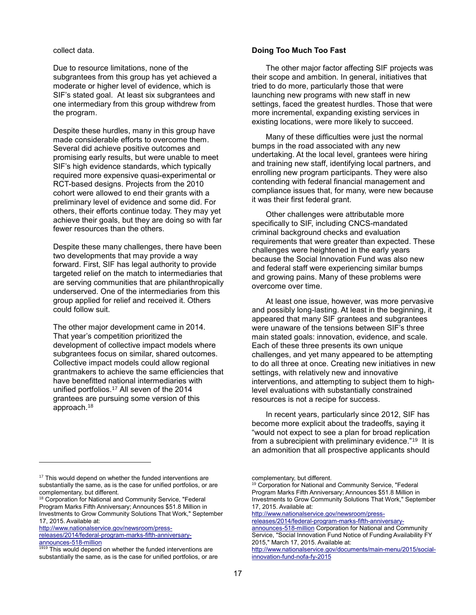collect data.

Due to resource limitations, none of the subgrantees from this group has yet achieved a moderate or higher level of evidence, which is SIF's stated goal. At least six subgrantees and one intermediary from this group withdrew from the program.

Despite these hurdles, many in this group have made considerable efforts to overcome them. Several did achieve positive outcomes and promising early results, but were unable to meet SIF's high evidence standards, which typically required more expensive quasi-experimental or RCT-based designs. Projects from the 2010 cohort were allowed to end their grants with a preliminary level of evidence and some did. For others, their efforts continue today. They may yet achieve their goals, but they are doing so with far fewer resources than the others.

Despite these many challenges, there have been two developments that may provide a way forward. First, SIF has legal authority to provide targeted relief on the match to intermediaries that are serving communities that are philanthropically underserved. One of the intermediaries from this group applied for relief and received it. Others could follow suit.

The other major development came in 2014. That year's competition prioritized the development of collective impact models where subgrantees focus on similar, shared outcomes. Collective impact models could allow regional grantmakers to achieve the same efficiencies that have benefitted national intermediaries with unified portfolios. <sup>17</sup> All seven of the 2014 grantees are pursuing some version of this approach.<sup>18</sup>

#### **Doing Too Much Too Fast**

The other major factor affecting SIF projects was their scope and ambition. In general, initiatives that tried to do more, particularly those that were launching new programs with new staff in new settings, faced the greatest hurdles. Those that were more incremental, expanding existing services in existing locations, were more likely to succeed.

Many of these difficulties were just the normal bumps in the road associated with any new undertaking. At the local level, grantees were hiring and training new staff, identifying local partners, and enrolling new program participants. They were also contending with federal financial management and compliance issues that, for many, were new because it was their first federal grant.

Other challenges were attributable more specifically to SIF, including CNCS-mandated criminal background checks and evaluation requirements that were greater than expected. These challenges were heightened in the early years because the Social Innovation Fund was also new and federal staff were experiencing similar bumps and growing pains. Many of these problems were overcome over time.

At least one issue, however, was more pervasive and possibly long-lasting. At least in the beginning, it appeared that many SIF grantees and subgrantees were unaware of the tensions between SIF's three main stated goals: innovation, evidence, and scale. Each of these three presents its own unique challenges, and yet many appeared to be attempting to do all three at once. Creating new initiatives in new settings, with relatively new and innovative interventions, and attempting to subject them to highlevel evaluations with substantially constrained resources is not a recipe for success.

In recent years, particularly since 2012, SIF has become more explicit about the tradeoffs, saying it "would not expect to see a plan for broad replication from a subrecipient with preliminary evidence."<sup>19</sup> It is an admonition that all prospective applicants should

[http://www.nationalservice.gov/newsroom/press-](http://www.nationalservice.gov/newsroom/press-releases/2014/federal-program-marks-fifth-anniversary-announces-518-million)

[releases/2014/federal-program-marks-fifth-anniversary-](http://www.nationalservice.gov/newsroom/press-releases/2014/federal-program-marks-fifth-anniversary-announces-518-million)

l

 $17$  This would depend on whether the funded interventions are substantially the same, as is the case for unified portfolios, or are complementary, but different.

<sup>&</sup>lt;sup>18</sup> Corporation for National and Community Service, "Federal Program Marks Fifth Anniversary; Announces \$51.8 Million in Investments to Grow Community Solutions That Work," September 17, 2015. Available at:

[announces-518-million](http://www.nationalservice.gov/newsroom/press-releases/2014/federal-program-marks-fifth-anniversary-announces-518-million)

<sup>&</sup>lt;sup>1919</sup> This would depend on whether the funded interventions are substantially the same, as is the case for unified portfolios, or are

complementary, but different.

<sup>&</sup>lt;sup>19</sup> Corporation for National and Community Service, "Federal Program Marks Fifth Anniversary; Announces \$51.8 Million in Investments to Grow Community Solutions That Work," September 17, 2015. Available at:

[http://www.nationalservice.gov/newsroom/press-](http://www.nationalservice.gov/newsroom/press-releases/2014/federal-program-marks-fifth-anniversary-announces-518-million)

[releases/2014/federal-program-marks-fifth-anniversary](http://www.nationalservice.gov/newsroom/press-releases/2014/federal-program-marks-fifth-anniversary-announces-518-million)[announces-518-million](http://www.nationalservice.gov/newsroom/press-releases/2014/federal-program-marks-fifth-anniversary-announces-518-million) Corporation for National and Community Service, "Social Innovation Fund Notice of Funding Availability FY 2015," March 17, 2015. Available at:

[http://www.nationalservice.gov/documents/main-menu/2015/social](http://www.nationalservice.gov/documents/main-menu/2015/social-innovation-fund-nofa-fy-2015)[innovation-fund-nofa-fy-2015](http://www.nationalservice.gov/documents/main-menu/2015/social-innovation-fund-nofa-fy-2015)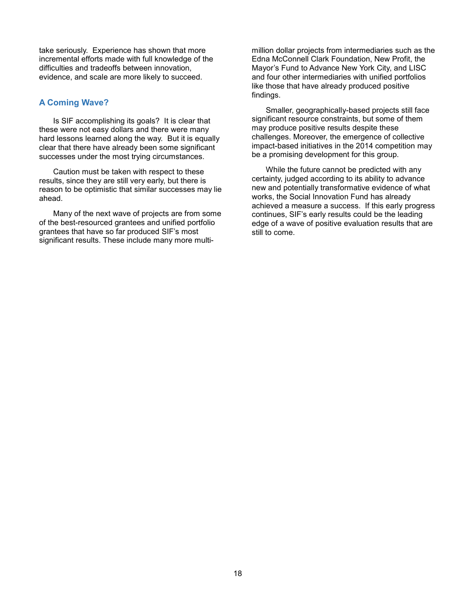take seriously. Experience has shown that more incremental efforts made with full knowledge of the difficulties and tradeoffs between innovation, evidence, and scale are more likely to succeed.

## **A Coming Wave?**

Is SIF accomplishing its goals? It is clear that these were not easy dollars and there were many hard lessons learned along the way. But it is equally clear that there have already been some significant successes under the most trying circumstances.

Caution must be taken with respect to these results, since they are still very early, but there is reason to be optimistic that similar successes may lie ahead.

Many of the next wave of projects are from some of the best-resourced grantees and unified portfolio grantees that have so far produced SIF's most significant results. These include many more multimillion dollar projects from intermediaries such as the Edna McConnell Clark Foundation, New Profit, the Mayor's Fund to Advance New York City, and LISC and four other intermediaries with unified portfolios like those that have already produced positive findings.

Smaller, geographically-based projects still face significant resource constraints, but some of them may produce positive results despite these challenges. Moreover, the emergence of collective impact-based initiatives in the 2014 competition may be a promising development for this group.

While the future cannot be predicted with any certainty, judged according to its ability to advance new and potentially transformative evidence of what works, the Social Innovation Fund has already achieved a measure a success. If this early progress continues, SIF's early results could be the leading edge of a wave of positive evaluation results that are still to come.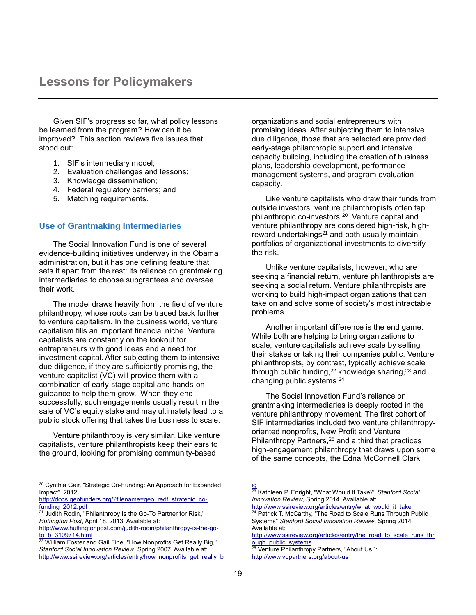Given SIF's progress so far, what policy lessons be learned from the program? How can it be improved? This section reviews five issues that stood out:

- 1. SIF's intermediary model;
- 2. Evaluation challenges and lessons;
- 3. Knowledge dissemination;
- 4. Federal regulatory barriers; and
- 5. Matching requirements.

## **Use of Grantmaking Intermediaries**

The Social Innovation Fund is one of several evidence-building initiatives underway in the Obama administration, but it has one defining feature that sets it apart from the rest: its reliance on grantmaking intermediaries to choose subgrantees and oversee their work.

The model draws heavily from the field of venture philanthropy, whose roots can be traced back further to venture capitalism. In the business world, venture capitalism fills an important financial niche. Venture capitalists are constantly on the lookout for entrepreneurs with good ideas and a need for investment capital. After subjecting them to intensive due diligence, if they are sufficiently promising, the venture capitalist (VC) will provide them with a combination of early-stage capital and hands-on guidance to help them grow. When they end successfully, such engagements usually result in the sale of VC's equity stake and may ultimately lead to a public stock offering that takes the business to scale.

Venture philanthropy is very similar. Like venture capitalists, venture philanthropists keep their ears to the ground, looking for promising community-based

l

organizations and social entrepreneurs with promising ideas. After subjecting them to intensive due diligence, those that are selected are provided early-stage philanthropic support and intensive capacity building, including the creation of business plans, leadership development, performance management systems, and program evaluation capacity.

Like venture capitalists who draw their funds from outside investors, venture philanthropists often tap philanthropic co-investors.<sup>20</sup> Venture capital and venture philanthropy are considered high-risk, highreward undertakings<sup>21</sup> and both usually maintain portfolios of organizational investments to diversify the risk.

Unlike venture capitalists, however, who are seeking a financial return, venture philanthropists are seeking a social return. Venture philanthropists are working to build high-impact organizations that can take on and solve some of society's most intractable problems.

Another important difference is the end game. While both are helping to bring organizations to scale, venture capitalists achieve scale by selling their stakes or taking their companies public. Venture philanthropists, by contrast, typically achieve scale through public funding, $22$  knowledge sharing, $23$  and changing public systems.<sup>24</sup>

The Social Innovation Fund's reliance on grantmaking intermediaries is deeply rooted in the venture philanthropy movement. The first cohort of SIF intermediaries included two venture philanthropyoriented nonprofits, New Profit and Venture Philanthropy Partners,<sup>25</sup> and a third that practices high-engagement philanthropy that draws upon some of the same concepts, the Edna McConnell Clark

<sup>25</sup> Venture Philanthropy Partners, "About Us.": <http://www.vppartners.org/about-us>

<sup>&</sup>lt;sup>20</sup> Cynthia Gair, "Strategic Co-Funding: An Approach for Expanded Impact". 2012,

[http://docs.geofunders.org/?filename=geo\\_redf\\_strategic\\_co](http://docs.geofunders.org/?filename=geo_redf_strategic_co-funding_2012.pdf)[funding\\_2012.pdf](http://docs.geofunders.org/?filename=geo_redf_strategic_co-funding_2012.pdf)

Judith Rodin, "Philanthropy Is the Go-To Partner for Risk," *Huffington Post*, April 18, 2013. Available at:

[http://www.huffingtonpost.com/judith-rodin/philanthropy-is-the-go](http://www.huffingtonpost.com/judith-rodin/philanthropy-is-the-go-to_b_3109714.html)[to\\_b\\_3109714.html](http://www.huffingtonpost.com/judith-rodin/philanthropy-is-the-go-to_b_3109714.html)<br>22 William Fest

<sup>22</sup> William Foster and Gail Fine, "How Nonprofits Get Really Big," *Stanford Social Innovation Review*, Spring 2007. Available at: [http://www.ssireview.org/articles/entry/how\\_nonprofits\\_get\\_really\\_b](http://www.ssireview.org/articles/entry/how_nonprofits_get_really_big)

[ig](http://www.ssireview.org/articles/entry/how_nonprofits_get_really_big) <sup>23</sup> Kathleen P. Enright, "What Would It Take?" *Stanford Social Innovation Review*, Spring 2014. Available at: [http://www.ssireview.org/articles/entry/what\\_would\\_it\\_take](http://www.ssireview.org/articles/entry/what_would_it_take)

<sup>&</sup>lt;sup>24</sup> Patrick T. McCarthy, "The Road to Scale Runs Through Public Systems" *Stanford Social Innovation Review*, Spring 2014. Available at:

[http://www.ssireview.org/articles/entry/the\\_road\\_to\\_scale\\_runs\\_thr](http://www.ssireview.org/articles/entry/the_road_to_scale_runs_through_public_systems) [ough\\_public\\_systems](http://www.ssireview.org/articles/entry/the_road_to_scale_runs_through_public_systems)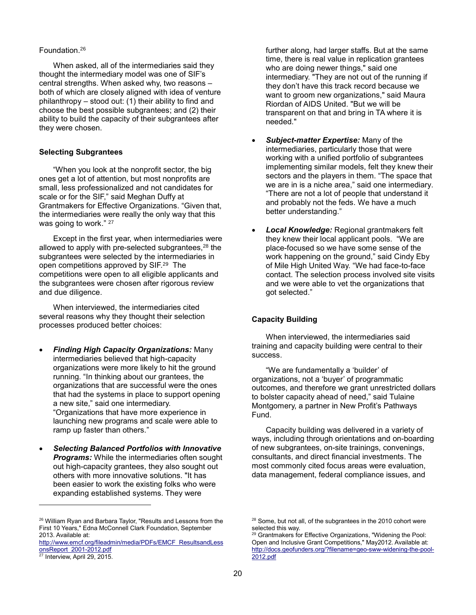#### Foundation. 26

When asked, all of the intermediaries said they thought the intermediary model was one of SIF's central strengths. When asked why, two reasons – both of which are closely aligned with idea of venture philanthropy – stood out: (1) their ability to find and choose the best possible subgrantees; and (2) their ability to build the capacity of their subgrantees after they were chosen.

#### **Selecting Subgrantees**

"When you look at the nonprofit sector, the big ones get a lot of attention, but most nonprofits are small, less professionalized and not candidates for scale or for the SIF," said Meghan Duffy at Grantmakers for Effective Organizations. "Given that, the intermediaries were really the only way that this was going to work." 27

Except in the first year, when intermediaries were allowed to apply with pre-selected subgrantees,<sup>28</sup> the subgrantees were selected by the intermediaries in open competitions approved by SIF.<sup>29</sup> The competitions were open to all eligible applicants and the subgrantees were chosen after rigorous review and due diligence.

When interviewed, the intermediaries cited several reasons why they thought their selection processes produced better choices:

- *Finding High Capacity Organizations:* Many intermediaries believed that high-capacity organizations were more likely to hit the ground running. "In thinking about our grantees, the organizations that are successful were the ones that had the systems in place to support opening a new site," said one intermediary. "Organizations that have more experience in launching new programs and scale were able to ramp up faster than others."
- *Selecting Balanced Portfolios with Innovative Programs:* While the intermediaries often sought out high-capacity grantees, they also sought out others with more innovative solutions. "It has been easier to work the existing folks who were expanding established systems. They were

l

further along, had larger staffs. But at the same time, there is real value in replication grantees who are doing newer things," said one intermediary. "They are not out of the running if they don't have this track record because we want to groom new organizations," said Maura Riordan of AIDS United. "But we will be transparent on that and bring in TA where it is needed."

- *Subject-matter Expertise:* Many of the intermediaries, particularly those that were working with a unified portfolio of subgrantees implementing similar models, felt they knew their sectors and the players in them. "The space that we are in is a niche area," said one intermediary. "There are not a lot of people that understand it and probably not the feds. We have a much better understanding."
- *Local Knowledge:* Regional grantmakers felt they knew their local applicant pools. "We are place-focused so we have some sense of the work happening on the ground," said Cindy Eby of Mile High United Way. "We had face-to-face contact. The selection process involved site visits and we were able to vet the organizations that got selected."

#### **Capacity Building**

When interviewed, the intermediaries said training and capacity building were central to their success.

"We are fundamentally a 'builder' of organizations, not a 'buyer' of programmatic outcomes, and therefore we grant unrestricted dollars to bolster capacity ahead of need," said Tulaine Montgomery, a partner in New Profit's Pathways Fund.

Capacity building was delivered in a variety of ways, including through orientations and on-boarding of new subgrantees, on-site trainings, convenings, consultants, and direct financial investments. The most commonly cited focus areas were evaluation, data management, federal compliance issues, and

<sup>26</sup> William Ryan and Barbara Taylor, "Results and Lessons from the First 10 Years," Edna McConnell Clark Foundation, September 2013. Available at:

[http://www.emcf.org/fileadmin/media/PDFs/EMCF\\_ResultsandLess](http://www.emcf.org/fileadmin/media/PDFs/EMCF_ResultsandLessonsReport_2001-2012.pdf) [onsReport\\_2001-2012.pdf](http://www.emcf.org/fileadmin/media/PDFs/EMCF_ResultsandLessonsReport_2001-2012.pdf)

 $27$  Interview, April 29, 2015.

<sup>&</sup>lt;sup>28</sup> Some, but not all, of the subgrantees in the 2010 cohort were selected this way.

<sup>&</sup>lt;sup>29</sup> Grantmakers for Effective Organizations, "Widening the Pool: Open and Inclusive Grant Competitions," May2012. Available at: [http://docs.geofunders.org/?filename=geo-sww-widening-the-pool-](http://docs.geofunders.org/?filename=geo-sww-widening-the-pool-2012.pdf)[2012.pdf](http://docs.geofunders.org/?filename=geo-sww-widening-the-pool-2012.pdf)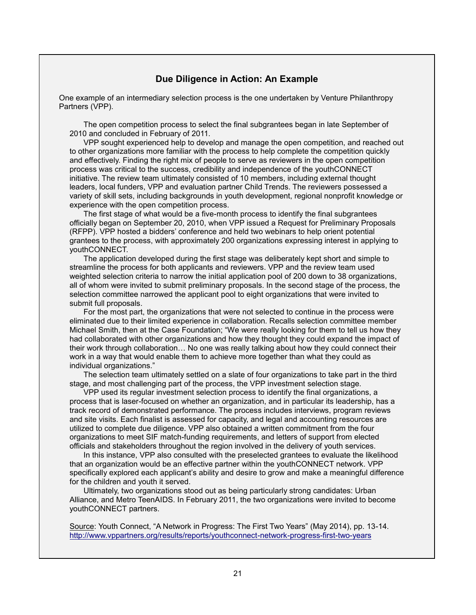## **Due Diligence in Action: An Example**

One example of an intermediary selection process is the one undertaken by Venture Philanthropy Partners (VPP).

The open competition process to select the final subgrantees began in late September of 2010 and concluded in February of 2011.

VPP sought experienced help to develop and manage the open competition, and reached out to other organizations more familiar with the process to help complete the competition quickly and effectively. Finding the right mix of people to serve as reviewers in the open competition process was critical to the success, credibility and independence of the youthCONNECT initiative. The review team ultimately consisted of 10 members, including external thought leaders, local funders, VPP and evaluation partner Child Trends. The reviewers possessed a variety of skill sets, including backgrounds in youth development, regional nonprofit knowledge or experience with the open competition process.

The first stage of what would be a five-month process to identify the final subgrantees officially began on September 20, 2010, when VPP issued a Request for Preliminary Proposals (RFPP). VPP hosted a bidders' conference and held two webinars to help orient potential grantees to the process, with approximately 200 organizations expressing interest in applying to youthCONNECT.

The application developed during the first stage was deliberately kept short and simple to streamline the process for both applicants and reviewers. VPP and the review team used weighted selection criteria to narrow the initial application pool of 200 down to 38 organizations, all of whom were invited to submit preliminary proposals. In the second stage of the process, the selection committee narrowed the applicant pool to eight organizations that were invited to submit full proposals.

For the most part, the organizations that were not selected to continue in the process were eliminated due to their limited experience in collaboration. Recalls selection committee member Michael Smith, then at the Case Foundation; "We were really looking for them to tell us how they had collaborated with other organizations and how they thought they could expand the impact of their work through collaboration… No one was really talking about how they could connect their work in a way that would enable them to achieve more together than what they could as individual organizations."

The selection team ultimately settled on a slate of four organizations to take part in the third stage, and most challenging part of the process, the VPP investment selection stage.

VPP used its regular investment selection process to identify the final organizations, a process that is laser-focused on whether an organization, and in particular its leadership, has a track record of demonstrated performance. The process includes interviews, program reviews and site visits. Each finalist is assessed for capacity, and legal and accounting resources are utilized to complete due diligence. VPP also obtained a written commitment from the four organizations to meet SIF match-funding requirements, and letters of support from elected officials and stakeholders throughout the region involved in the delivery of youth services.

In this instance, VPP also consulted with the preselected grantees to evaluate the likelihood that an organization would be an effective partner within the youthCONNECT network. VPP specifically explored each applicant's ability and desire to grow and make a meaningful difference for the children and youth it served.

Ultimately, two organizations stood out as being particularly strong candidates: Urban Alliance, and Metro TeenAIDS. In February 2011, the two organizations were invited to become youthCONNECT partners.

Source: Youth Connect, "A Network in Progress: The First Two Years" (May 2014), pp. 13-14. <http://www.vppartners.org/results/reports/youthconnect-network-progress-first-two-years>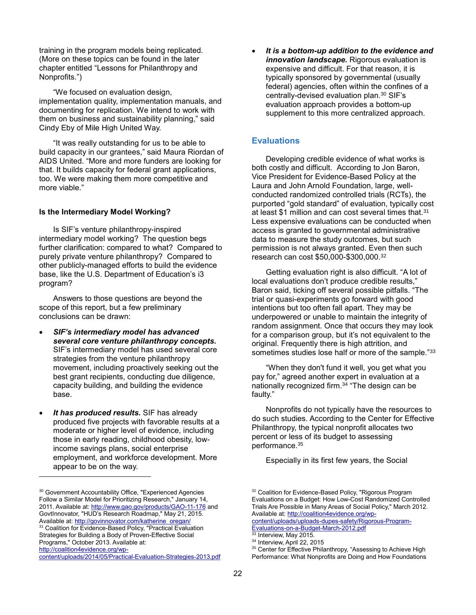training in the program models being replicated. (More on these topics can be found in the later chapter entitled "Lessons for Philanthropy and Nonprofits.")

"We focused on evaluation design, implementation quality, implementation manuals, and documenting for replication. We intend to work with them on business and sustainability planning," said Cindy Eby of Mile High United Way.

"It was really outstanding for us to be able to build capacity in our grantees," said Maura Riordan of AIDS United. "More and more funders are looking for that. It builds capacity for federal grant applications, too. We were making them more competitive and more viable."

#### **Is the Intermediary Model Working?**

Is SIF's venture philanthropy-inspired intermediary model working? The question begs further clarification: compared to what? Compared to purely private venture philanthropy? Compared to other publicly-managed efforts to build the evidence base, like the U.S. Department of Education's i3 program?

Answers to those questions are beyond the scope of this report, but a few preliminary conclusions can be drawn:

- *SIF's intermediary model has advanced several core venture philanthropy concepts.* SIF's intermediary model has used several core strategies from the venture philanthropy movement, including proactively seeking out the best grant recipients, conducting due diligence, capacity building, and building the evidence base.
- *It has produced results.* SIF has already produced five projects with favorable results at a moderate or higher level of evidence, including those in early reading, childhood obesity, lowincome savings plans, social enterprise employment, and workforce development. More appear to be on the way.

l

[content/uploads/2014/05/Practical-Evaluation-Strategies-2013.pdf](http://coalition4evidence.org/wp-content/uploads/2014/05/Practical-Evaluation-Strategies-2013.pdf)

 *It is a bottom-up addition to the evidence and innovation landscape.* Rigorous evaluation is expensive and difficult. For that reason, it is typically sponsored by governmental (usually federal) agencies, often within the confines of a centrally-devised evaluation plan.<sup>30</sup> SIF's evaluation approach provides a bottom-up supplement to this more centralized approach.

## **Evaluations**

Developing credible evidence of what works is both costly and difficult. According to Jon Baron, Vice President for Evidence-Based Policy at the Laura and John Arnold Foundation, large, wellconducted randomized controlled trials (RCTs), the purported "gold standard" of evaluation, typically cost at least \$1 million and can cost several times that.<sup>31</sup> Less expensive evaluations can be conducted when access is granted to governmental administrative data to measure the study outcomes, but such permission is not always granted. Even then such research can cost \$50,000-\$300,000. 32

Getting evaluation right is also difficult. "A lot of local evaluations don't produce credible results," Baron said, ticking off several possible pitfalls. "The trial or quasi-experiments go forward with good intentions but too often fall apart. They may be underpowered or unable to maintain the integrity of random assignment. Once that occurs they may look for a comparison group, but it's not equivalent to the original. Frequently there is high attrition, and sometimes studies lose half or more of the sample."33

"When they don't fund it well, you get what you pay for," agreed another expert in evaluation at a nationally recognized firm.<sup>34</sup> "The design can be faulty."

Nonprofits do not typically have the resources to do such studies. According to the Center for Effective Philanthropy, the typical nonprofit allocates two percent or less of its budget to assessing performance.<sup>35</sup>

Especially in its first few years, the Social

Interview, May 2015.

<sup>30</sup> Government Accountability Office, "Experienced Agencies Follow a Similar Model for Prioritizing Research," January 14, 2011. Available at[: http://www.gao.gov/products/GAO-11-176](http://www.gao.gov/products/GAO-11-176) and GovtInnovator, "HUD's Research Roadmap," May 21, 2015. Available at: [http://govinnovator.com/katherine\\_oregan/](http://govinnovator.com/katherine_oregan/) <sup>31</sup> Coalition for Evidence-Based Policy, "Practical Evaluation

Strategies for Building a Body of Proven-Effective Social Programs," October 2013. Available at: [http://coalition4evidence.org/wp-](http://coalition4evidence.org/wp-content/uploads/2014/05/Practical-Evaluation-Strategies-2013.pdf)

<sup>&</sup>lt;sup>32</sup> Coalition for Evidence-Based Policy, "Rigorous Program Evaluations on a Budget: How Low-Cost Randomized Controlled Trials Are Possible in Many Areas of Social Policy," March 2012. Available at[: http://coalition4evidence.org/wp-](http://coalition4evidence.org/wp-content/uploads/uploads-dupes-safety/Rigorous-Program-Evaluations-on-a-Budget-March-2012.pdf)

[content/uploads/uploads-dupes-safety/Rigorous-Program-](http://coalition4evidence.org/wp-content/uploads/uploads-dupes-safety/Rigorous-Program-Evaluations-on-a-Budget-March-2012.pdf)[Evaluations-on-a-Budget-March-2012.pdf](http://coalition4evidence.org/wp-content/uploads/uploads-dupes-safety/Rigorous-Program-Evaluations-on-a-Budget-March-2012.pdf)

<sup>34</sup> Interview, April 22, 2015

<sup>&</sup>lt;sup>35</sup> Center for Effective Philanthropy, "Assessing to Achieve High Performance: What Nonprofits are Doing and How Foundations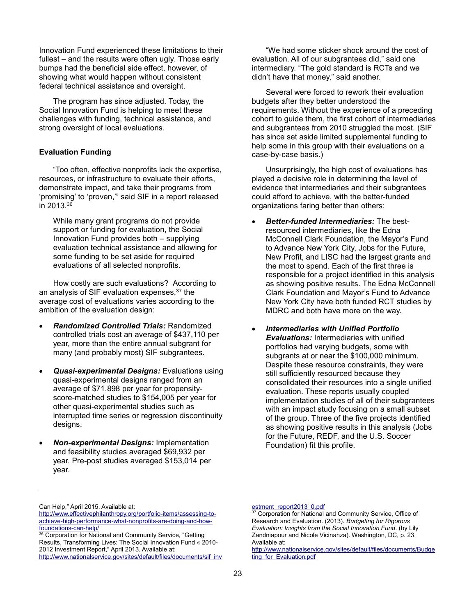Innovation Fund experienced these limitations to their fullest – and the results were often ugly. Those early bumps had the beneficial side effect, however, of showing what would happen without consistent federal technical assistance and oversight.

The program has since adjusted. Today, the Social Innovation Fund is helping to meet these challenges with funding, technical assistance, and strong oversight of local evaluations.

#### **Evaluation Funding**

"Too often, effective nonprofits lack the expertise, resources, or infrastructure to evaluate their efforts, demonstrate impact, and take their programs from 'promising' to 'proven,'" said SIF in a report released in 2013.<sup>36</sup>

While many grant programs do not provide support or funding for evaluation, the Social Innovation Fund provides both – supplying evaluation technical assistance and allowing for some funding to be set aside for required evaluations of all selected nonprofits.

How costly are such evaluations? According to an analysis of SIF evaluation expenses, <sup>37</sup> the average cost of evaluations varies according to the ambition of the evaluation design:

- *Randomized Controlled Trials:* Randomized controlled trials cost an average of \$437,110 per year, more than the entire annual subgrant for many (and probably most) SIF subgrantees.
- *Quasi-experimental Designs:* Evaluations using quasi-experimental designs ranged from an average of \$71,898 per year for propensityscore-matched studies to \$154,005 per year for other quasi-experimental studies such as interrupted time series or regression discontinuity designs.
- *Non-experimental Designs:* Implementation and feasibility studies averaged \$69,932 per year. Pre-post studies averaged \$153,014 per year.

"We had some sticker shock around the cost of evaluation. All of our subgrantees did," said one intermediary. "The gold standard is RCTs and we didn't have that money," said another.

Several were forced to rework their evaluation budgets after they better understood the requirements. Without the experience of a preceding cohort to guide them, the first cohort of intermediaries and subgrantees from 2010 struggled the most. (SIF has since set aside limited supplemental funding to help some in this group with their evaluations on a case-by-case basis.)

Unsurprisingly, the high cost of evaluations has played a decisive role in determining the level of evidence that intermediaries and their subgrantees could afford to achieve, with the better-funded organizations faring better than others:

- *Better-funded Intermediaries:* The bestresourced intermediaries, like the Edna McConnell Clark Foundation, the Mayor's Fund to Advance New York City, Jobs for the Future, New Profit, and LISC had the largest grants and the most to spend. Each of the first three is responsible for a project identified in this analysis as showing positive results. The Edna McConnell Clark Foundation and Mayor's Fund to Advance New York City have both funded RCT studies by MDRC and both have more on the way.
- *Intermediaries with Unified Portfolio Evaluations:* Intermediaries with unified portfolios had varying budgets, some with subgrants at or near the \$100,000 minimum. Despite these resource constraints, they were still sufficiently resourced because they consolidated their resources into a single unified evaluation. These reports usually coupled implementation studies of all of their subgrantees with an impact study focusing on a small subset of the group. Three of the five projects identified as showing positive results in this analysis (Jobs for the Future, REDF, and the U.S. Soccer Foundation) fit this profile.

l

Can Help," April 2015. Available at: [http://www.effectivephilanthropy.org/portfolio-items/assessing-to](http://www.effectivephilanthropy.org/portfolio-items/assessing-to-achieve-high-performance-what-nonprofits-are-doing-and-how-foundations-can-help/)[achieve-high-performance-what-nonprofits-are-doing-and-how-](http://www.effectivephilanthropy.org/portfolio-items/assessing-to-achieve-high-performance-what-nonprofits-are-doing-and-how-foundations-can-help/)

[foundations-can-help/](http://www.effectivephilanthropy.org/portfolio-items/assessing-to-achieve-high-performance-what-nonprofits-are-doing-and-how-foundations-can-help/) 36 Corporation for National and Community Service, "Getting Results, Transforming Lives: The Social Innovation Fund « 2010-

<sup>2012</sup> Investment Report," April 2013. Available at: [http://www.nationalservice.gov/sites/default/files/documents/sif\\_inv](http://www.nationalservice.gov/sites/default/files/documents/sif_investment_report2013_0.pdf)

[estment\\_report2013\\_0.pdf](http://www.nationalservice.gov/sites/default/files/documents/sif_investment_report2013_0.pdf)<br>
<sup>37</sup> Corporation

Corporation for National and Community Service, Office of Research and Evaluation. (2013). *Budgeting for Rigorous Evaluation: Insights from the Social Innovation Fund*. (by Lily Zandniapour and Nicole Vicinanza). Washington, DC, p. 23. Available at:

[http://www.nationalservice.gov/sites/default/files/documents/Budge](http://www.nationalservice.gov/sites/default/files/documents/Budgeting_for_Evaluation.pdf) ting for Evaluation.pdf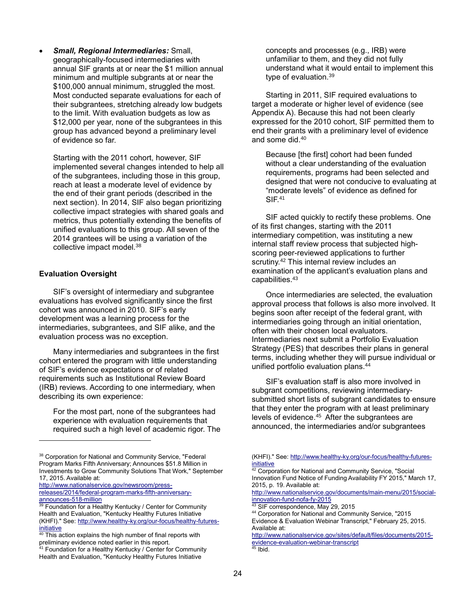*Small, Regional Intermediaries:* Small, geographically-focused intermediaries with annual SIF grants at or near the \$1 million annual minimum and multiple subgrants at or near the \$100,000 annual minimum, struggled the most. Most conducted separate evaluations for each of their subgrantees, stretching already low budgets to the limit. With evaluation budgets as low as \$12,000 per year, none of the subgrantees in this group has advanced beyond a preliminary level of evidence so far.

Starting with the 2011 cohort, however, SIF implemented several changes intended to help all of the subgrantees, including those in this group, reach at least a moderate level of evidence by the end of their grant periods (described in the next section). In 2014, SIF also began prioritizing collective impact strategies with shared goals and metrics, thus potentially extending the benefits of unified evaluations to this group. All seven of the 2014 grantees will be using a variation of the collective impact model.<sup>38</sup>

## **Evaluation Oversight**

l

SIF's oversight of intermediary and subgrantee evaluations has evolved significantly since the first cohort was announced in 2010. SIF's early development was a learning process for the intermediaries, subgrantees, and SIF alike, and the evaluation process was no exception.

Many intermediaries and subgrantees in the first cohort entered the program with little understanding of SIF's evidence expectations or of related requirements such as Institutional Review Board (IRB) reviews. According to one intermediary, when describing its own experience:

For the most part, none of the subgrantees had experience with evaluation requirements that required such a high level of academic rigor. The

[http://www.nationalservice.gov/newsroom/press](http://www.nationalservice.gov/newsroom/press-releases/2014/federal-program-marks-fifth-anniversary-announces-518-million)[releases/2014/federal-program-marks-fifth-anniversary](http://www.nationalservice.gov/newsroom/press-releases/2014/federal-program-marks-fifth-anniversary-announces-518-million)[announces-518-million](http://www.nationalservice.gov/newsroom/press-releases/2014/federal-program-marks-fifth-anniversary-announces-518-million)

concepts and processes (e.g., IRB) were unfamiliar to them, and they did not fully understand what it would entail to implement this type of evaluation.<sup>39</sup>

Starting in 2011, SIF required evaluations to target a moderate or higher level of evidence (see Appendix A). Because this had not been clearly expressed for the 2010 cohort, SIF permitted them to end their grants with a preliminary level of evidence and some did. 40

Because [the first] cohort had been funded without a clear understanding of the evaluation requirements, programs had been selected and designed that were not conducive to evaluating at "moderate levels" of evidence as defined for SIF.<sup>41</sup>

SIF acted quickly to rectify these problems. One of its first changes, starting with the 2011 intermediary competition, was instituting a new internal staff review process that subjected highscoring peer-reviewed applications to further scrutiny.<sup>42</sup> This internal review includes an examination of the applicant's evaluation plans and capabilities. 43

Once intermediaries are selected, the evaluation approval process that follows is also more involved. It begins soon after receipt of the federal grant, with intermediaries going through an initial orientation, often with their chosen local evaluators. Intermediaries next submit a Portfolio Evaluation Strategy (PES) that describes their plans in general terms, including whether they will pursue individual or unified portfolio evaluation plans. 44

SIF's evaluation staff is also more involved in subgrant competitions, reviewing intermediarysubmitted short lists of subgrant candidates to ensure that they enter the program with at least preliminary levels of evidence. 45 After the subgrantees are announced, the intermediaries and/or subgrantees

[http://www.nationalservice.gov/documents/main-menu/2015/social](http://www.nationalservice.gov/documents/main-menu/2015/social-innovation-fund-nofa-fy-2015)[innovation-fund-nofa-fy-2015](http://www.nationalservice.gov/documents/main-menu/2015/social-innovation-fund-nofa-fy-2015)

<sup>43</sup> SIF correspondence, May 29, 2015

[http://www.nationalservice.gov/sites/default/files/documents/2015](http://www.nationalservice.gov/sites/default/files/documents/2015-evidence-evaluation-webinar-transcript) [evidence-evaluation-webinar-transcript](http://www.nationalservice.gov/sites/default/files/documents/2015-evidence-evaluation-webinar-transcript)  $45$  Ibid.

<sup>38</sup> Corporation for National and Community Service, "Federal Program Marks Fifth Anniversary; Announces \$51.8 Million in Investments to Grow Community Solutions That Work," September 17, 2015. Available at:

<sup>&</sup>lt;sup>39</sup> Foundation for a Healthy Kentucky / Center for Community Health and Evaluation, "Kentucky Healthy Futures Initiative (KHFI)." See: [http://www.healthy-ky.org/our-focus/healthy-futures](http://www.healthy-ky.org/our-focus/healthy-futures-initiative)[initiative](http://www.healthy-ky.org/our-focus/healthy-futures-initiative)

<sup>&</sup>lt;sup>40</sup> This action explains the high number of final reports with preliminary evidence noted earlier in this report.<br><sup>41</sup> Foundation for a U.S. We will be a structured to provide the structure of the structure of the structure of

<sup>41</sup> Foundation for a Healthy Kentucky / Center for Community Health and Evaluation, "Kentucky Healthy Futures Initiative

<sup>(</sup>KHFI)." See[: http://www.healthy-ky.org/our-focus/healthy-futures](http://www.healthy-ky.org/our-focus/healthy-futures-initiative)[initiative](http://www.healthy-ky.org/our-focus/healthy-futures-initiative)

<sup>&</sup>lt;sup>42</sup> Corporation for National and Community Service, "Social Innovation Fund Notice of Funding Availability FY 2015," March 17, 2015, p. 19. Available at:

<sup>44</sup> Corporation for National and Community Service, "2015 Evidence & Evaluation Webinar Transcript," February 25, 2015. Available at: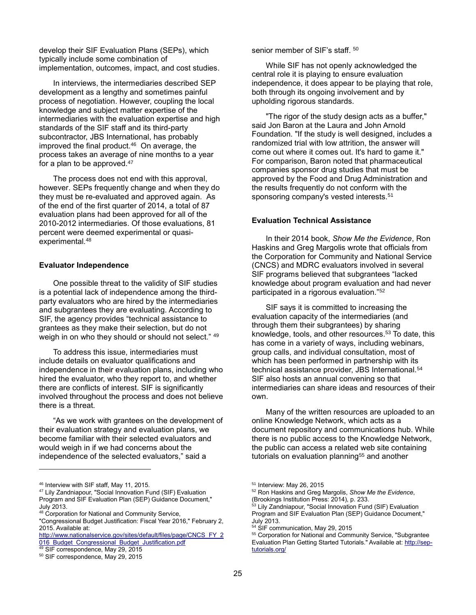develop their SIF Evaluation Plans (SEPs), which typically include some combination of implementation, outcomes, impact, and cost studies.

In interviews, the intermediaries described SEP development as a lengthy and sometimes painful process of negotiation. However, coupling the local knowledge and subject matter expertise of the intermediaries with the evaluation expertise and high standards of the SIF staff and its third-party subcontractor, JBS International, has probably improved the final product. <sup>46</sup> On average, the process takes an average of nine months to a year for a plan to be approved.<sup>47</sup>

The process does not end with this approval, however. SEPs frequently change and when they do they must be re-evaluated and approved again. As of the end of the first quarter of 2014, a total of 87 evaluation plans had been approved for all of the 2010-2012 intermediaries. Of those evaluations, 81 percent were deemed experimental or quasiexperimental.<sup>48</sup>

#### **Evaluator Independence**

One possible threat to the validity of SIF studies is a potential lack of independence among the thirdparty evaluators who are hired by the intermediaries and subgrantees they are evaluating. According to SIF, the agency provides "technical assistance to grantees as they make their selection, but do not weigh in on who they should or should not select." 49

To address this issue, intermediaries must include details on evaluator qualifications and independence in their evaluation plans, including who hired the evaluator, who they report to, and whether there are conflicts of interest. SIF is significantly involved throughout the process and does not believe there is a threat.

"As we work with grantees on the development of their evaluation strategy and evaluation plans, we become familiar with their selected evaluators and would weigh in if we had concerns about the independence of the selected evaluators," said a

l

senior member of SIF's staff. 50

While SIF has not openly acknowledged the central role it is playing to ensure evaluation independence, it does appear to be playing that role, both through its ongoing involvement and by upholding rigorous standards.

"The rigor of the study design acts as a buffer," said Jon Baron at the Laura and John Arnold Foundation. "If the study is well designed, includes a randomized trial with low attrition, the answer will come out where it comes out. It's hard to game it." For comparison, Baron noted that pharmaceutical companies sponsor drug studies that must be approved by the Food and Drug Administration and the results frequently do not conform with the sponsoring company's vested interests.<sup>51</sup>

#### **Evaluation Technical Assistance**

In their 2014 book, *Show Me the Evidence*, Ron Haskins and Greg Margolis wrote that officials from the Corporation for Community and National Service (CNCS) and MDRC evaluators involved in several SIF programs believed that subgrantees "lacked knowledge about program evaluation and had never participated in a rigorous evaluation." 52

SIF says it is committed to increasing the evaluation capacity of the intermediaries (and through them their subgrantees) by sharing knowledge, tools, and other resources. <sup>53</sup> To date, this has come in a variety of ways, including webinars, group calls, and individual consultation, most of which has been performed in partnership with its technical assistance provider, JBS International.<sup>54</sup> SIF also hosts an annual convening so that intermediaries can share ideas and resources of their own.

Many of the written resources are uploaded to an online Knowledge Network, which acts as a document repository and communications hub. While there is no public access to the Knowledge Network, the public can access a related web site containing tutorials on evaluation planning<sup>55</sup> and another

- <sup>52</sup> Ron Haskins and Greg Margolis, *Show Me the Evidence*, (Brookings Institution Press: 2014), p. 233.
- <sup>53</sup> Lily Zandniapour, "Social Innovation Fund (SIF) Evaluation Program and SIF Evaluation Plan (SEP) Guidance Document," July 2013.

<sup>46</sup> Interview with SIF staff, May 11, 2015.

<sup>47</sup> Lily Zandniapour, "Social Innovation Fund (SIF) Evaluation Program and SIF Evaluation Plan (SEP) Guidance Document," July 2013.

<sup>&</sup>lt;sup>48</sup> Corporation for National and Community Service,

<sup>&</sup>quot;Congressional Budget Justification: Fiscal Year 2016," February 2, 2015. Available at:

[http://www.nationalservice.gov/sites/default/files/page/CNCS\\_FY\\_2](http://www.nationalservice.gov/sites/default/files/page/CNCS_FY_2016_Budget_Congressional_Budget_Justification.pdf) 016 Budget Congressional Budget Justification.pdf

<sup>49</sup> SIF correspondence, May 29, 2015

<sup>50</sup> SIF correspondence, May 29, 2015

<sup>51</sup> Interview: May 26, 2015

<sup>&</sup>lt;sup>54</sup> SIF communication, May 29, 2015

<sup>&</sup>lt;sup>55</sup> Corporation for National and Community Service, "Subgrantee Evaluation Plan Getting Started Tutorials." Available at[: http://sep](http://sep-tutorials.org/)[tutorials.org/](http://sep-tutorials.org/)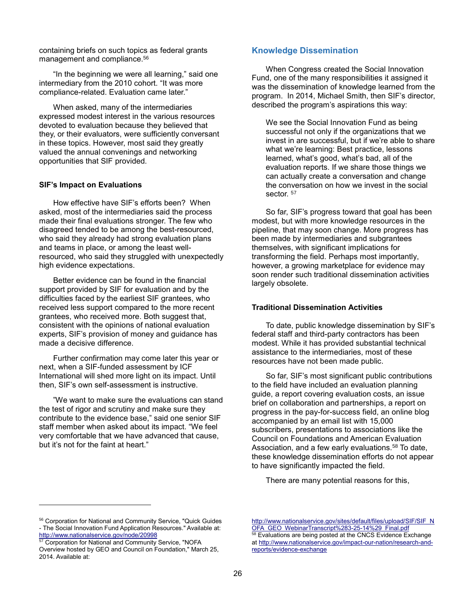containing briefs on such topics as federal grants management and compliance.<sup>56</sup>

"In the beginning we were all learning," said one intermediary from the 2010 cohort. "It was more compliance-related. Evaluation came later."

When asked, many of the intermediaries expressed modest interest in the various resources devoted to evaluation because they believed that they, or their evaluators, were sufficiently conversant in these topics. However, most said they greatly valued the annual convenings and networking opportunities that SIF provided.

#### **SIF's Impact on Evaluations**

How effective have SIF's efforts been? When asked, most of the intermediaries said the process made their final evaluations stronger. The few who disagreed tended to be among the best-resourced, who said they already had strong evaluation plans and teams in place, or among the least wellresourced, who said they struggled with unexpectedly high evidence expectations.

Better evidence can be found in the financial support provided by SIF for evaluation and by the difficulties faced by the earliest SIF grantees, who received less support compared to the more recent grantees, who received more. Both suggest that, consistent with the opinions of national evaluation experts, SIF's provision of money and guidance has made a decisive difference.

Further confirmation may come later this year or next, when a SIF-funded assessment by ICF International will shed more light on its impact. Until then, SIF's own self-assessment is instructive.

"We want to make sure the evaluations can stand the test of rigor and scrutiny and make sure they contribute to the evidence base," said one senior SIF staff member when asked about its impact. "We feel very comfortable that we have advanced that cause, but it's not for the faint at heart."

## **Knowledge Dissemination**

When Congress created the Social Innovation Fund, one of the many responsibilities it assigned it was the dissemination of knowledge learned from the program. In 2014, Michael Smith, then SIF's director, described the program's aspirations this way:

We see the Social Innovation Fund as being successful not only if the organizations that we invest in are successful, but if we're able to share what we're learning: Best practice, lessons learned, what's good, what's bad, all of the evaluation reports. If we share those things we can actually create a conversation and change the conversation on how we invest in the social sector.<sup>57</sup>

So far, SIF's progress toward that goal has been modest, but with more knowledge resources in the pipeline, that may soon change. More progress has been made by intermediaries and subgrantees themselves, with significant implications for transforming the field. Perhaps most importantly, however, a growing marketplace for evidence may soon render such traditional dissemination activities largely obsolete.

#### **Traditional Dissemination Activities**

To date, public knowledge dissemination by SIF's federal staff and third-party contractors has been modest. While it has provided substantial technical assistance to the intermediaries, most of these resources have not been made public.

So far, SIF's most significant public contributions to the field have included an evaluation planning guide, a report covering evaluation costs, an issue brief on collaboration and partnerships, a report on progress in the pay-for-success field, an online blog accompanied by an email list with 15,000 subscribers, presentations to associations like the Council on Foundations and American Evaluation Association, and a few early evaluations.<sup>58</sup> To date, these knowledge dissemination efforts do not appear to have significantly impacted the field.

There are many potential reasons for this,

Corporation for National and Community Service, "NOFA

l

<sup>56</sup> Corporation for National and Community Service, "Quick Guides - The Social Innovation Fund Application Resources." Available at: <http://www.nationalservice.gov/node/20998>

Overview hosted by GEO and Council on Foundation," March 25, 2014. Available at:

[http://www.nationalservice.gov/sites/default/files/upload/SIF/SIF\\_N](http://www.nationalservice.gov/sites/default/files/upload/SIF/SIF_NOFA_GEO_WebinarTranscript%283-25-14%29_Final.pdf) [OFA\\_GEO\\_WebinarTranscript%283-25-14%29\\_Final.pdf](http://www.nationalservice.gov/sites/default/files/upload/SIF/SIF_NOFA_GEO_WebinarTranscript%283-25-14%29_Final.pdf) Evaluations are being posted at the CNCS Evidence Exchange at [http://www.nationalservice.gov/impact-our-nation/research-and](http://www.nationalservice.gov/impact-our-nation/research-and-reports/evidence-exchange)[reports/evidence-exchange](http://www.nationalservice.gov/impact-our-nation/research-and-reports/evidence-exchange)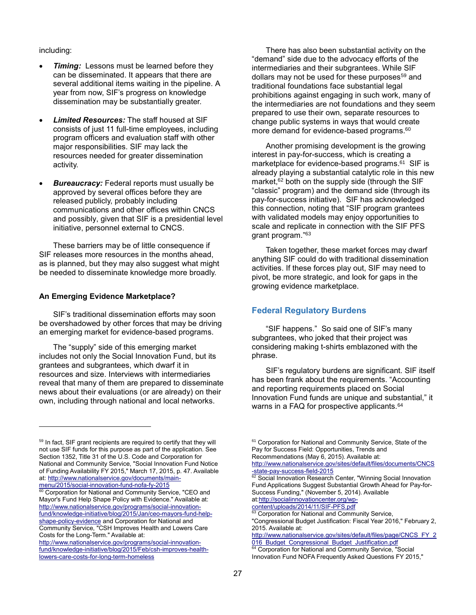including:

l

- *Timing:* Lessons must be learned before they can be disseminated. It appears that there are several additional items waiting in the pipeline. A year from now, SIF's progress on knowledge dissemination may be substantially greater.
- *Limited Resources:* The staff housed at SIF consists of just 11 full-time employees, including program officers and evaluation staff with other major responsibilities. SIF may lack the resources needed for greater dissemination activity.
- *Bureaucracy:* Federal reports must usually be approved by several offices before they are released publicly, probably including communications and other offices within CNCS and possibly, given that SIF is a presidential level initiative, personnel external to CNCS.

These barriers may be of little consequence if SIF releases more resources in the months ahead, as is planned, but they may also suggest what might be needed to disseminate knowledge more broadly.

## **An Emerging Evidence Marketplace?**

SIF's traditional dissemination efforts may soon be overshadowed by other forces that may be driving an emerging market for evidence-based programs.

The "supply" side of this emerging market includes not only the Social Innovation Fund, but its grantees and subgrantees, which dwarf it in resources and size. Interviews with intermediaries reveal that many of them are prepared to disseminate news about their evaluations (or are already) on their own, including through national and local networks.

There has also been substantial activity on the "demand" side due to the advocacy efforts of the intermediaries and their subgrantees. While SIF dollars may not be used for these purposes<sup>59</sup> and traditional foundations face substantial legal prohibitions against engaging in such work, many of the intermediaries are not foundations and they seem prepared to use their own, separate resources to change public systems in ways that would create more demand for evidence-based programs.<sup>60</sup>

Another promising development is the growing interest in pay-for-success, which is creating a marketplace for evidence-based programs. 61 SIF is already playing a substantial catalytic role in this new market,<sup>62</sup> both on the supply side (through the SIF "classic" program) and the demand side (through its pay-for-success initiative). SIF has acknowledged this connection, noting that "SIF program grantees with validated models may enjoy opportunities to scale and replicate in connection with the SIF PFS grant program." 63

Taken together, these market forces may dwarf anything SIF could do with traditional dissemination activities. If these forces play out, SIF may need to pivot, be more strategic, and look for gaps in the growing evidence marketplace.

## **Federal Regulatory Burdens**

"SIF happens." So said one of SIF's many subgrantees, who joked that their project was considering making t-shirts emblazoned with the phrase.

SIF's regulatory burdens are significant. SIF itself has been frank about the requirements. "Accounting and reporting requirements placed on Social Innovation Fund funds are unique and substantial," it warns in a FAQ for prospective applicants.<sup>64</sup>

at[:http://socialinnovationcenter.org/wp-](http://socialinnovationcenter.org/wp-content/uploads/2014/11/SIF-PFS.pdf)

<sup>&</sup>lt;sup>59</sup> In fact, SIF grant recipients are required to certify that they will not use SIF funds for this purpose as part of the application. See Section 1352, Title 31 of the U.S. Code and Corporation for National and Community Service, "Social Innovation Fund Notice of Funding Availability FY 2015," March 17, 2015, p. 47. Available at[: http://www.nationalservice.gov/documents/main](http://www.nationalservice.gov/documents/main-menu/2015/social-innovation-fund-nofa-fy-2015)[menu/2015/social-innovation-fund-nofa-fy-2015](http://www.nationalservice.gov/documents/main-menu/2015/social-innovation-fund-nofa-fy-2015)

<sup>&</sup>lt;sup>60</sup> Corporation for National and Community Service, "CEO and Mayor's Fund Help Shape Policy with Evidence." Available at: [http://www.nationalservice.gov/programs/social-innovation](http://www.nationalservice.gov/programs/social-innovation-fund/knowledge-initiative/blog/2015/Jan/ceo-mayors-fund-help-shape-policy-evidence)[fund/knowledge-initiative/blog/2015/Jan/ceo-mayors-fund-help](http://www.nationalservice.gov/programs/social-innovation-fund/knowledge-initiative/blog/2015/Jan/ceo-mayors-fund-help-shape-policy-evidence)[shape-policy-evidence](http://www.nationalservice.gov/programs/social-innovation-fund/knowledge-initiative/blog/2015/Jan/ceo-mayors-fund-help-shape-policy-evidence) and Corporation for National and Community Service, "CSH Improves Health and Lowers Care Costs for the Long-Term." Available at:

[http://www.nationalservice.gov/programs/social-innovation](http://www.nationalservice.gov/programs/social-innovation-fund/knowledge-initiative/blog/2015/Feb/csh-improves-health-lowers-care-costs-for-long-term-homeless)[fund/knowledge-initiative/blog/2015/Feb/csh-improves-health](http://www.nationalservice.gov/programs/social-innovation-fund/knowledge-initiative/blog/2015/Feb/csh-improves-health-lowers-care-costs-for-long-term-homeless)[lowers-care-costs-for-long-term-homeless](http://www.nationalservice.gov/programs/social-innovation-fund/knowledge-initiative/blog/2015/Feb/csh-improves-health-lowers-care-costs-for-long-term-homeless)

<sup>&</sup>lt;sup>61</sup> Corporation for National and Community Service, State of the Pay for Success Field: Opportunities, Trends and Recommendations (May 6, 2015). Available at:

[http://www.nationalservice.gov/sites/default/files/documents/CNCS](http://www.nationalservice.gov/sites/default/files/documents/CNCS-state-pay-success-field-2015) [-state-pay-success-field-2015](http://www.nationalservice.gov/sites/default/files/documents/CNCS-state-pay-success-field-2015)

<sup>62</sup> Social Innovation Research Center, "Winning Social Innovation Fund Applications Suggest Substantial Growth Ahead for Pay-for-Success Funding," (November 5, 2014). Available

[content/uploads/2014/11/SIF-PFS.pdf](http://socialinnovationcenter.org/wp-content/uploads/2014/11/SIF-PFS.pdf)

<sup>&</sup>lt;sup>63</sup> Corporation for National and Community Service, "Congressional Budget Justification: Fiscal Year 2016," February 2, 2015. Available at:

[http://www.nationalservice.gov/sites/default/files/page/CNCS\\_FY\\_2](http://www.nationalservice.gov/sites/default/files/page/CNCS_FY_2016_Budget_Congressional_Budget_Justification.pdf) 016 Budget Congressional Budget Justification.pdf <sup>64</sup> Corporation for National and Community Service, "Social

Innovation Fund NOFA Frequently Asked Questions FY 2015,"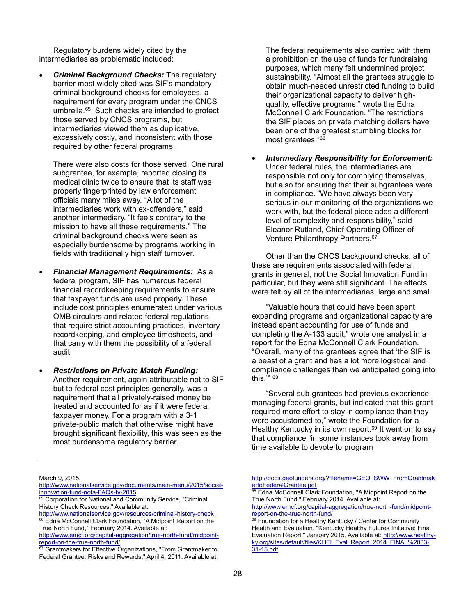Regulatory burdens widely cited by the intermediaries as problematic included:

 *Criminal Background Checks:* The regulatory barrier most widely cited was SIF's mandatory criminal background checks for employees, a requirement for every program under the CNCS umbrella.<sup>65</sup> Such checks are intended to protect those served by CNCS programs, but intermediaries viewed them as duplicative, excessively costly, and inconsistent with those required by other federal programs.

There were also costs for those served. One rural subgrantee, for example, reported closing its medical clinic twice to ensure that its staff was properly fingerprinted by law enforcement officials many miles away. "A lot of the intermediaries work with ex-offenders," said another intermediary. "It feels contrary to the mission to have all these requirements." The criminal background checks were seen as especially burdensome by programs working in fields with traditionally high staff turnover.

- *Financial Management Requirements:* As a federal program, SIF has numerous federal financial recordkeeping requirements to ensure that taxpayer funds are used properly. These include cost principles enumerated under various OMB circulars and related federal regulations that require strict accounting practices, inventory recordkeeping, and employee timesheets, and that carry with them the possibility of a federal audit.
- *Restrictions on Private Match Funding:* Another requirement, again attributable not to SIF but to federal cost principles generally, was a requirement that all privately-raised money be treated and accounted for as if it were federal taxpayer money. For a program with a 3-1 private-public match that otherwise might have brought significant flexibility, this was seen as the most burdensome regulatory barrier.

The federal requirements also carried with them a prohibition on the use of funds for fundraising purposes, which many felt undermined project sustainability. "Almost all the grantees struggle to obtain much-needed unrestricted funding to build their organizational capacity to deliver highquality, effective programs," wrote the Edna McConnell Clark Foundation. "The restrictions the SIF places on private matching dollars have been one of the greatest stumbling blocks for most grantees." 66

 *Intermediary Responsibility for Enforcement:* Under federal rules, the intermediaries are responsible not only for complying themselves, but also for ensuring that their subgrantees were in compliance. "We have always been very serious in our monitoring of the organizations we work with, but the federal piece adds a different level of complexity and responsibility," said Eleanor Rutland, Chief Operating Officer of Venture Philanthropy Partners. 67

Other than the CNCS background checks, all of these are requirements associated with federal grants in general, not the Social Innovation Fund in particular, but they were still significant. The effects were felt by all of the intermediaries, large and small.

"Valuable hours that could have been spent expanding programs and organizational capacity are instead spent accounting for use of funds and completing the A-133 audit," wrote one analyst in a report for the Edna McConnell Clark Foundation. "Overall, many of the grantees agree that 'the SIF is a beast of a grant and has a lot more logistical and compliance challenges than we anticipated going into this.'" 68

"Several sub-grantees had previous experience managing federal grants, but indicated that this grant required more effort to stay in compliance than they were accustomed to," wrote the Foundation for a Healthy Kentucky in its own report.<sup>69</sup> It went on to say that compliance "in some instances took away from time available to devote to program

l

[http://docs.geofunders.org/?filename=GEO\\_SWW\\_FromGrantmak](http://docs.geofunders.org/?filename=GEO_SWW_FromGrantmakertoFederalGrantee.pdf) [ertoFederalGrantee.pdf](http://docs.geofunders.org/?filename=GEO_SWW_FromGrantmakertoFederalGrantee.pdf)

Edna McConnell Clark Foundation, "A Midpoint Report on the True North Fund," February 2014. Available at:

[http://www.emcf.org/capital-aggregation/true-north-fund/midpoint](http://www.emcf.org/capital-aggregation/true-north-fund/midpoint-report-on-the-true-north-fund/)[report-on-the-true-north-fund/](http://www.emcf.org/capital-aggregation/true-north-fund/midpoint-report-on-the-true-north-fund/)

March 9, 2015.

[http://www.nationalservice.gov/documents/main-menu/2015/social](http://www.nationalservice.gov/documents/main-menu/2015/social-innovation-fund-nofa-FAQs-fy-2015)[innovation-fund-nofa-FAQs-fy-2015](http://www.nationalservice.gov/documents/main-menu/2015/social-innovation-fund-nofa-FAQs-fy-2015)

<sup>65</sup> Corporation for National and Community Service, "Criminal History Check Resources." Available at:

<http://www.nationalservice.gov/resources/criminal-history-check> <sup>66</sup> Edna McConnell Clark Foundation, "A Midpoint Report on the True North Fund," February 2014. Available at:

[http://www.emcf.org/capital-aggregation/true-north-fund/midpoint](http://www.emcf.org/capital-aggregation/true-north-fund/midpoint-report-on-the-true-north-fund/)[report-on-the-true-north-fund/](http://www.emcf.org/capital-aggregation/true-north-fund/midpoint-report-on-the-true-north-fund/)

<sup>67</sup> Grantmakers for Effective Organizations, "From Grantmaker to Federal Grantee: Risks and Rewards," April 4, 2011. Available at:

Foundation for a Healthy Kentucky / Center for Community Health and Evaluation, "Kentucky Healthy Futures Initiative: Final Evaluation Report," January 2015. Available at: [http://www.healthy](http://www.healthy-ky.org/sites/default/files/KHFI_Eval_Report_2014_FINAL%2003-31-15.pdf)[ky.org/sites/default/files/KHFI\\_Eval\\_Report\\_2014\\_FINAL%2003-](http://www.healthy-ky.org/sites/default/files/KHFI_Eval_Report_2014_FINAL%2003-31-15.pdf) [31-15.pdf](http://www.healthy-ky.org/sites/default/files/KHFI_Eval_Report_2014_FINAL%2003-31-15.pdf)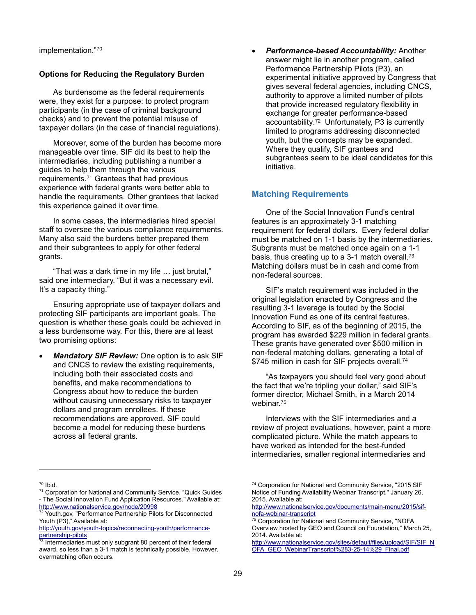implementation." 70

## **Options for Reducing the Regulatory Burden**

As burdensome as the federal requirements were, they exist for a purpose: to protect program participants (in the case of criminal background checks) and to prevent the potential misuse of taxpayer dollars (in the case of financial regulations).

Moreover, some of the burden has become more manageable over time. SIF did its best to help the intermediaries, including publishing a number a guides to help them through the various requirements. <sup>71</sup> Grantees that had previous experience with federal grants were better able to handle the requirements. Other grantees that lacked this experience gained it over time.

In some cases, the intermediaries hired special staff to oversee the various compliance requirements. Many also said the burdens better prepared them and their subgrantees to apply for other federal grants.

"That was a dark time in my life … just brutal," said one intermediary. "But it was a necessary evil. It's a capacity thing."

Ensuring appropriate use of taxpayer dollars and protecting SIF participants are important goals. The question is whether these goals could be achieved in a less burdensome way. For this, there are at least two promising options:

 *Mandatory SIF Review:* One option is to ask SIF and CNCS to review the existing requirements, including both their associated costs and benefits, and make recommendations to Congress about how to reduce the burden without causing unnecessary risks to taxpayer dollars and program enrollees. If these recommendations are approved, SIF could become a model for reducing these burdens across all federal grants.

 *Performance-based Accountability:* Another answer might lie in another program, called Performance Partnership Pilots (P3), an experimental initiative approved by Congress that gives several federal agencies, including CNCS, authority to approve a limited number of pilots that provide increased regulatory flexibility in exchange for greater performance-based accountability. <sup>72</sup> Unfortunately, P3 is currently limited to programs addressing disconnected youth, but the concepts may be expanded. Where they qualify, SIF grantees and subgrantees seem to be ideal candidates for this initiative.

## **Matching Requirements**

One of the Social Innovation Fund's central features is an approximately 3-1 matching requirement for federal dollars. Every federal dollar must be matched on 1-1 basis by the intermediaries. Subgrants must be matched once again on a 1-1 basis, thus creating up to a 3-1 match overall.<sup>73</sup> Matching dollars must be in cash and come from non-federal sources.

SIF's match requirement was included in the original legislation enacted by Congress and the resulting 3-1 leverage is touted by the Social Innovation Fund as one of its central features. According to SIF, as of the beginning of 2015, the program has awarded \$229 million in federal grants. These grants have generated over \$500 million in non-federal matching dollars, generating a total of \$745 million in cash for SIF projects overall.<sup>74</sup>

"As taxpayers you should feel very good about the fact that we're tripling your dollar," said SIF's former director, Michael Smith, in a March 2014 webinar.<sup>75</sup>

Interviews with the SIF intermediaries and a review of project evaluations, however, paint a more complicated picture. While the match appears to have worked as intended for the best-funded intermediaries, smaller regional intermediaries and

l

[http://www.nationalservice.gov/sites/default/files/upload/SIF/SIF\\_N](http://www.nationalservice.gov/sites/default/files/upload/SIF/SIF_NOFA_GEO_WebinarTranscript%283-25-14%29_Final.pdf) [OFA\\_GEO\\_WebinarTranscript%283-25-14%29\\_Final.pdf](http://www.nationalservice.gov/sites/default/files/upload/SIF/SIF_NOFA_GEO_WebinarTranscript%283-25-14%29_Final.pdf)

<sup>70</sup> Ibid.

<sup>71</sup> Corporation for National and Community Service, "Quick Guides - The Social Innovation Fund Application Resources." Available at: <http://www.nationalservice.gov/node/20998>

Youth.gov, "Performance Partnership Pilots for Disconnected Youth (P3)," Available at:

[http://youth.gov/youth-topics/reconnecting-youth/performance](http://youth.gov/youth-topics/reconnecting-youth/performance-partnership-pilots)[partnership-pilots](http://youth.gov/youth-topics/reconnecting-youth/performance-partnership-pilots)

Intermediaries must only subgrant 80 percent of their federal award, so less than a 3-1 match is technically possible. However, overmatching often occurs.

<sup>&</sup>lt;sup>74</sup> Corporation for National and Community Service, "2015 SIF Notice of Funding Availability Webinar Transcript." January 26, 2015. Available at:

[http://www.nationalservice.gov/documents/main-menu/2015/sif](http://www.nationalservice.gov/documents/main-menu/2015/sif-nofa-webinar-transcript)[nofa-webinar-transcript](http://www.nationalservice.gov/documents/main-menu/2015/sif-nofa-webinar-transcript)

<sup>&</sup>lt;sup>75</sup> Corporation for National and Community Service, "NOFA Overview hosted by GEO and Council on Foundation," March 25, 2014. Available at: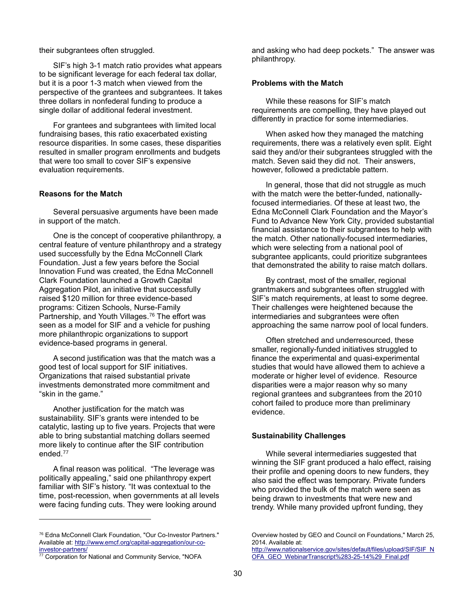their subgrantees often struggled.

SIF's high 3-1 match ratio provides what appears to be significant leverage for each federal tax dollar, but it is a poor 1-3 match when viewed from the perspective of the grantees and subgrantees. It takes three dollars in nonfederal funding to produce a single dollar of additional federal investment.

For grantees and subgrantees with limited local fundraising bases, this ratio exacerbated existing resource disparities. In some cases, these disparities resulted in smaller program enrollments and budgets that were too small to cover SIF's expensive evaluation requirements.

#### **Reasons for the Match**

Several persuasive arguments have been made in support of the match.

One is the concept of cooperative philanthropy, a central feature of venture philanthropy and a strategy used successfully by the Edna McConnell Clark Foundation. Just a few years before the Social Innovation Fund was created, the Edna McConnell Clark Foundation launched a Growth Capital Aggregation Pilot, an initiative that successfully raised \$120 million for three evidence-based programs: Citizen Schools, Nurse-Family Partnership, and Youth Villages.<sup>76</sup> The effort was seen as a model for SIF and a vehicle for pushing more philanthropic organizations to support evidence-based programs in general.

A second justification was that the match was a good test of local support for SIF initiatives. Organizations that raised substantial private investments demonstrated more commitment and "skin in the game."

Another justification for the match was sustainability. SIF's grants were intended to be catalytic, lasting up to five years. Projects that were able to bring substantial matching dollars seemed more likely to continue after the SIF contribution ended.<sup>77</sup>

A final reason was political. "The leverage was politically appealing," said one philanthropy expert familiar with SIF's history. "It was contextual to the time, post-recession, when governments at all levels were facing funding cuts. They were looking around

l

and asking who had deep pockets." The answer was philanthropy.

#### **Problems with the Match**

While these reasons for SIF's match requirements are compelling, they have played out differently in practice for some intermediaries.

When asked how they managed the matching requirements, there was a relatively even split. Eight said they and/or their subgrantees struggled with the match. Seven said they did not.Their answers, however, followed a predictable pattern.

In general, those that did not struggle as much with the match were the better-funded, nationallyfocused intermediaries. Of these at least two, the Edna McConnell Clark Foundation and the Mayor's Fund to Advance New York City, provided substantial financial assistance to their subgrantees to help with the match. Other nationally-focused intermediaries, which were selecting from a national pool of subgrantee applicants, could prioritize subgrantees that demonstrated the ability to raise match dollars.

By contrast, most of the smaller, regional grantmakers and subgrantees often struggled with SIF's match requirements, at least to some degree. Their challenges were heightened because the intermediaries and subgrantees were often approaching the same narrow pool of local funders.

Often stretched and underresourced, these smaller, regionally-funded initiatives struggled to finance the experimental and quasi-experimental studies that would have allowed them to achieve a moderate or higher level of evidence. Resource disparities were a major reason why so many regional grantees and subgrantees from the 2010 cohort failed to produce more than preliminary evidence.

#### **Sustainability Challenges**

While several intermediaries suggested that winning the SIF grant produced a halo effect, raising their profile and opening doors to new funders, they also said the effect was temporary. Private funders who provided the bulk of the match were seen as being drawn to investments that were new and trendy. While many provided upfront funding, they

<sup>76</sup> Edna McConnell Clark Foundation, "Our Co-Investor Partners." Available at: [http://www.emcf.org/capital-aggregation/our-co](http://www.emcf.org/capital-aggregation/our-co-investor-partners/)[investor-partners/](http://www.emcf.org/capital-aggregation/our-co-investor-partners/)

 $\overline{77}$  Corporation for National and Community Service, "NOFA

Overview hosted by GEO and Council on Foundations," March 25, 2014. Available at:

[http://www.nationalservice.gov/sites/default/files/upload/SIF/SIF\\_N](http://www.nationalservice.gov/sites/default/files/upload/SIF/SIF_NOFA_GEO_WebinarTranscript%283-25-14%29_Final.pdf) [OFA\\_GEO\\_WebinarTranscript%283-25-14%29\\_Final.pdf](http://www.nationalservice.gov/sites/default/files/upload/SIF/SIF_NOFA_GEO_WebinarTranscript%283-25-14%29_Final.pdf)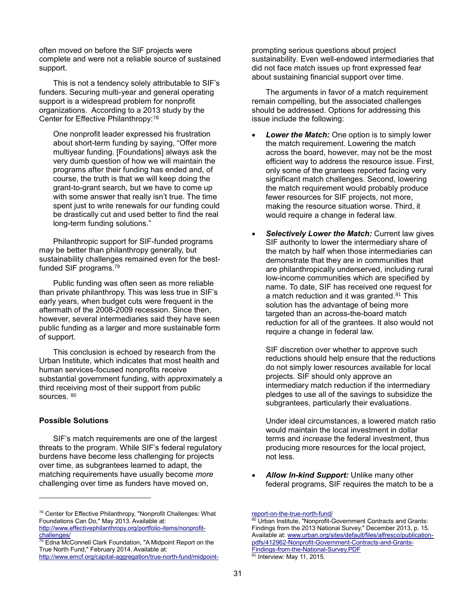often moved on before the SIF projects were complete and were not a reliable source of sustained support.

This is not a tendency solely attributable to SIF's funders. Securing multi-year and general operating support is a widespread problem for nonprofit organizations. According to a 2013 study by the Center for Effective Philanthropy:<sup>78</sup>

One nonprofit leader expressed his frustration about short-term funding by saying, "Offer more multiyear funding. [Foundations] always ask the very dumb question of how we will maintain the programs after their funding has ended and, of course, the truth is that we will keep doing the grant-to-grant search, but we have to come up with some answer that really isn't true. The time spent just to write renewals for our funding could be drastically cut and used better to find the real long-term funding solutions."

Philanthropic support for SIF-funded programs may be better than philanthropy generally, but sustainability challenges remained even for the bestfunded SIF programs. 79

Public funding was often seen as more reliable than private philanthropy. This was less true in SIF's early years, when budget cuts were frequent in the aftermath of the 2008-2009 recession. Since then, however, several intermediaries said they have seen public funding as a larger and more sustainable form of support.

This conclusion is echoed by research from the Urban Institute, which indicates that most health and human services-focused nonprofits receive substantial government funding, with approximately a third receiving most of their support from public sources. 80

#### **Possible Solutions**

l

SIF's match requirements are one of the largest threats to the program. While SIF's federal regulatory burdens have become less challenging for projects over time, as subgrantees learned to adapt, the matching requirements have usually become *more* challenging over time as funders have moved on,

prompting serious questions about project sustainability. Even well-endowed intermediaries that did not face match issues up front expressed fear about sustaining financial support over time.

The arguments in favor of a match requirement remain compelling, but the associated challenges should be addressed. Options for addressing this issue include the following:

- *Lower the Match:* One option is to simply lower the match requirement. Lowering the match across the board, however, may not be the most efficient way to address the resource issue. First, only some of the grantees reported facing very significant match challenges. Second, lowering the match requirement would probably produce fewer resources for SIF projects, not more, making the resource situation worse. Third, it would require a change in federal law.
- *Selectively Lower the Match:* Current law gives SIF authority to lower the intermediary share of the match by half when those intermediaries can demonstrate that they are in communities that are philanthropically underserved, including rural low-income communities which are specified by name. To date, SIF has received one request for a match reduction and it was granted.<sup>81</sup> This solution has the advantage of being more targeted than an across-the-board match reduction for all of the grantees. It also would not require a change in federal law.

SIF discretion over whether to approve such reductions should help ensure that the reductions do not simply lower resources available for local projects. SIF should only approve an intermediary match reduction if the intermediary pledges to use all of the savings to subsidize the subgrantees, particularly their evaluations.

Under ideal circumstances, a lowered match ratio would maintain the local investment in dollar terms and *increase* the federal investment, thus producing more resources for the local project, not less.

 *Allow In-kind Support:* Unlike many other federal programs, SIF requires the match to be a

<sup>78</sup> Center for Effective Philanthropy, "Nonprofit Challenges: What Foundations Can Do," May 2013. Available at: [http://www.effectivephilanthropy.org/portfolio-items/nonprofit-](http://www.effectivephilanthropy.org/portfolio-items/nonprofit-challenges/)

[challenges/](http://www.effectivephilanthropy.org/portfolio-items/nonprofit-challenges/) **Example 2018**<br><sup>79</sup> Edna McConnell Clark Foundation, "A Midpoint Report on the True North Fund," February 2014. Available at:

[http://www.emcf.org/capital-aggregation/true-north-fund/midpoint-](http://www.emcf.org/capital-aggregation/true-north-fund/midpoint-report-on-the-true-north-fund/)

[report-on-the-true-north-fund/](http://www.emcf.org/capital-aggregation/true-north-fund/midpoint-report-on-the-true-north-fund/)

Urban Institute, "Nonprofit-Government Contracts and Grants: Findings from the 2013 National Survey," December 2013, p. 15. Available at[: www.urban.org/sites/default/files/alfresco/publication](http://www.urban.org/sites/default/files/alfresco/publication-pdfs/412962-Nonprofit-Government-Contracts-and-Grants-Findings-from-the-National-Survey.PDF)[pdfs/412962-Nonprofit-Government-Contracts-and-Grants-](http://www.urban.org/sites/default/files/alfresco/publication-pdfs/412962-Nonprofit-Government-Contracts-and-Grants-Findings-from-the-National-Survey.PDF)[Findings-from-the-National-Survey.PDF](http://www.urban.org/sites/default/files/alfresco/publication-pdfs/412962-Nonprofit-Government-Contracts-and-Grants-Findings-from-the-National-Survey.PDF)  $\frac{1}{81}$  Interview: May 11, 2015.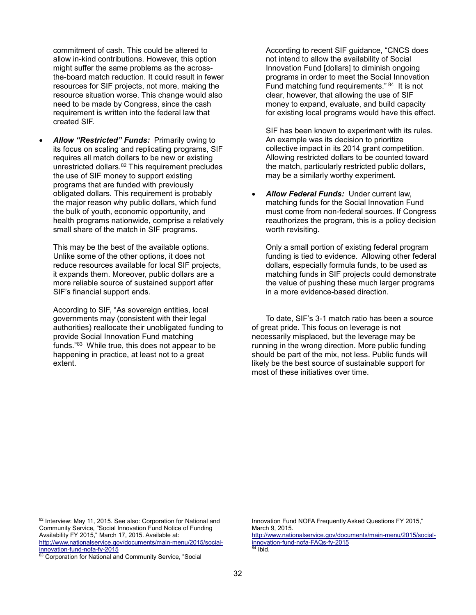commitment of cash. This could be altered to allow in-kind contributions. However, this option might suffer the same problems as the acrossthe-board match reduction. It could result in fewer resources for SIF projects, not more, making the resource situation worse. This change would also need to be made by Congress, since the cash requirement is written into the federal law that created SIF.

 *Allow "Restricted" Funds:* Primarily owing to its focus on scaling and replicating programs, SIF requires all match dollars to be new or existing unrestricted dollars.<sup>82</sup> This requirement precludes the use of SIF money to support existing programs that are funded with previously obligated dollars. This requirement is probably the major reason why public dollars, which fund the bulk of youth, economic opportunity, and health programs nationwide, comprise a relatively small share of the match in SIF programs.

This may be the best of the available options. Unlike some of the other options, it does not reduce resources available for local SIF projects, it expands them. Moreover, public dollars are a more reliable source of sustained support after SIF's financial support ends.

According to SIF, "As sovereign entities, local governments may (consistent with their legal authorities) reallocate their unobligated funding to provide Social Innovation Fund matching funds."<sup>83</sup> While true, this does not appear to be happening in practice, at least not to a great extent.

According to recent SIF guidance, "CNCS does not intend to allow the availability of Social Innovation Fund [dollars] to diminish ongoing programs in order to meet the Social Innovation Fund matching fund requirements." 84 It is not clear, however, that allowing the use of SIF money to expand, evaluate, and build capacity for existing local programs would have this effect.

SIF has been known to experiment with its rules. An example was its decision to prioritize collective impact in its 2014 grant competition. Allowing restricted dollars to be counted toward the match, particularly restricted public dollars, may be a similarly worthy experiment.

 *Allow Federal Funds:* Under current law, matching funds for the Social Innovation Fund must come from non-federal sources. If Congress reauthorizes the program, this is a policy decision worth revisiting.

Only a small portion of existing federal program funding is tied to evidence. Allowing other federal dollars, especially formula funds, to be used as matching funds in SIF projects could demonstrate the value of pushing these much larger programs in a more evidence-based direction.

To date, SIF's 3-1 match ratio has been a source of great pride. This focus on leverage is not necessarily misplaced, but the leverage may be running in the wrong direction. More public funding should be part of the mix, not less. Public funds will likely be the best source of sustainable support for most of these initiatives over time.

l

Innovation Fund NOFA Frequently Asked Questions FY 2015," March 9, 2015. [http://www.nationalservice.gov/documents/main-menu/2015/social](http://www.nationalservice.gov/documents/main-menu/2015/social-innovation-fund-nofa-FAQs-fy-2015)[innovation-fund-nofa-FAQs-fy-2015](http://www.nationalservice.gov/documents/main-menu/2015/social-innovation-fund-nofa-FAQs-fy-2015)  $84$  Ibid.

<sup>82</sup> Interview: May 11, 2015. See also: Corporation for National and Community Service, "Social Innovation Fund Notice of Funding Availability FY 2015," March 17, 2015. Available at: [http://www.nationalservice.gov/documents/main-menu/2015/social](http://www.nationalservice.gov/documents/main-menu/2015/social-innovation-fund-nofa-fy-2015)[innovation-fund-nofa-fy-2015](http://www.nationalservice.gov/documents/main-menu/2015/social-innovation-fund-nofa-fy-2015)

<sup>83</sup> Corporation for National and Community Service, "Social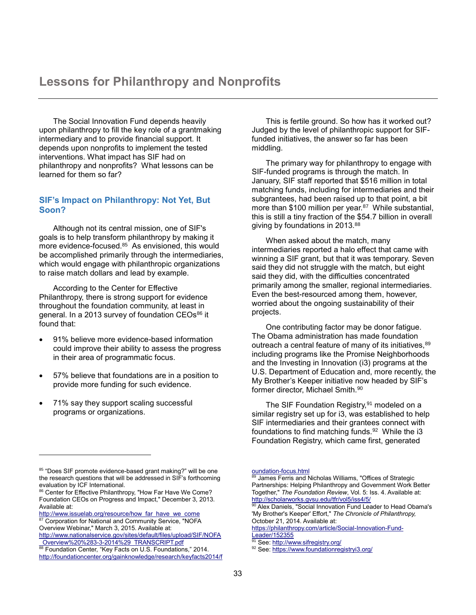The Social Innovation Fund depends heavily upon philanthropy to fill the key role of a grantmaking intermediary and to provide financial support. It depends upon nonprofits to implement the tested interventions. What impact has SIF had on philanthropy and nonprofits? What lessons can be learned for them so far?

## **SIF's Impact on Philanthropy: Not Yet, But Soon?**

Although not its central mission, one of SIF's goals is to help transform philanthropy by making it more evidence-focused.<sup>85</sup> As envisioned, this would be accomplished primarily through the intermediaries, which would engage with philanthropic organizations to raise match dollars and lead by example.

According to the Center for Effective Philanthropy, there is strong support for evidence throughout the foundation community, at least in general. In a 2013 survey of foundation CEOs<sup>86</sup> it found that:

- 91% believe more evidence-based information could improve their ability to assess the progress in their area of programmatic focus.
- 57% believe that foundations are in a position to provide more funding for such evidence.
- 71% say they support scaling successful programs or organizations.

l

This is fertile ground. So how has it worked out? Judged by the level of philanthropic support for SIFfunded initiatives, the answer so far has been middling.

The primary way for philanthropy to engage with SIF-funded programs is through the match. In January, SIF staff reported that \$516 million in total matching funds, including for intermediaries and their subgrantees, had been raised up to that point, a bit more than \$100 million per year.<sup>87</sup> While substantial, this is still a tiny fraction of the \$54.7 billion in overall giving by foundations in 2013.<sup>88</sup>

When asked about the match, many intermediaries reported a halo effect that came with winning a SIF grant, but that it was temporary. Seven said they did not struggle with the match, but eight said they did, with the difficulties concentrated primarily among the smaller, regional intermediaries. Even the best-resourced among them, however, worried about the ongoing sustainability of their projects.

One contributing factor may be donor fatigue. The Obama administration has made foundation outreach a central feature of many of its initiatives, 89 including programs like the Promise Neighborhoods and the Investing in Innovation (i3) programs at the U.S. Department of Education and, more recently, the My Brother's Keeper initiative now headed by SIF's former director, Michael Smith.<sup>90</sup>

The SIF Foundation Registry,<sup>91</sup> modeled on a similar registry set up for i3, was established to help SIF intermediaries and their grantees connect with foundations to find matching funds.<sup>92</sup> While the i3 Foundation Registry, which came first, generated

[https://philanthropy.com/article/Social-Innovation-Fund-](https://philanthropy.com/article/Social-Innovation-Fund-Leader/152355)[Leader/152355](https://philanthropy.com/article/Social-Innovation-Fund-Leader/152355)

<sup>85 &</sup>quot;Does SIF promote evidence-based grant making?" will be one the research questions that will be addressed in SIF's forthcoming evaluation by ICF International.

<sup>86</sup> Center for Effective Philanthropy, "How Far Have We Come? Foundation CEOs on Progress and Impact," December 3, 2013. Available at:

[http://www.issuelab.org/resource/how\\_far\\_have\\_we\\_come](http://www.issuelab.org/resource/how_far_have_we_come) Corporation for National and Community Service, "NOFA Overview Webinar," March 3, 2015. Available at:

[http://www.nationalservice.gov/sites/default/files/upload/SIF/NOFA](http://www.nationalservice.gov/sites/default/files/upload/SIF/NOFA_Overview%20%283-3-2014%29_TRANSCRIPT.pdf) [\\_Overview%20%283-3-2014%29\\_TRANSCRIPT.pdf](http://www.nationalservice.gov/sites/default/files/upload/SIF/NOFA_Overview%20%283-3-2014%29_TRANSCRIPT.pdf)

<sup>88</sup> Foundation Center, "Key Facts on U.S. Foundations," 2014. [http://foundationcenter.org/gainknowledge/research/keyfacts2014/f](http://foundationcenter.org/gainknowledge/research/keyfacts2014/foundation-focus.html)

[oundation-focus.html](http://foundationcenter.org/gainknowledge/research/keyfacts2014/foundation-focus.html)

<sup>89</sup> James Ferris and Nicholas Williams, "Offices of Strategic Partnerships: Helping Philanthropy and Government Work Better Together," *The Foundation Review*, Vol. 5: Iss. 4. Available at: <http://scholarworks.gvsu.edu/tfr/vol5/iss4/5/>

<sup>90</sup> Alex Daniels, "Social Innovation Fund Leader to Head Obama's 'My Brother's Keeper' Effort," *The Chronicle of Philanthropy,* October 21, 2014. Available at:

See[: http://www.sifregistry.org/](http://www.sifregistry.org/)

<sup>92</sup> See[: https://www.foundationregistryi3.org/](https://www.foundationregistryi3.org/)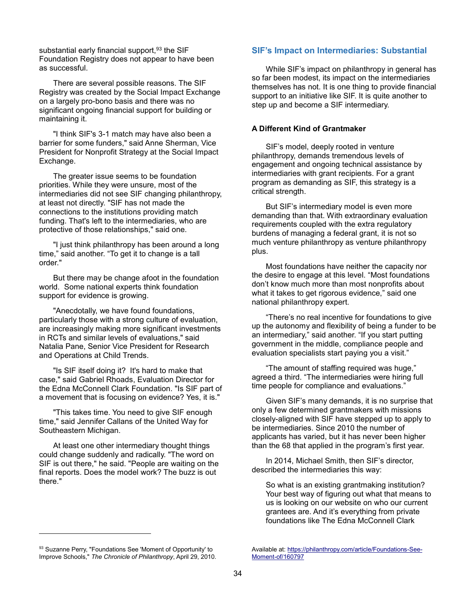substantial early financial support,<sup>93</sup> the SIF Foundation Registry does not appear to have been as successful.

There are several possible reasons. The SIF Registry was created by the Social Impact Exchange on a largely pro-bono basis and there was no significant ongoing financial support for building or maintaining it.

"I think SIF's 3-1 match may have also been a barrier for some funders," said Anne Sherman, Vice President for Nonprofit Strategy at the Social Impact Exchange.

The greater issue seems to be foundation priorities. While they were unsure, most of the intermediaries did not see SIF changing philanthropy, at least not directly. "SIF has not made the connections to the institutions providing match funding. That's left to the intermediaries, who are protective of those relationships," said one.

"I just think philanthropy has been around a long time," said another. "To get it to change is a tall order."

But there may be change afoot in the foundation world. Some national experts think foundation support for evidence is growing.

"Anecdotally, we have found foundations, particularly those with a strong culture of evaluation, are increasingly making more significant investments in RCTs and similar levels of evaluations," said Natalia Pane, Senior Vice President for Research and Operations at Child Trends.

"Is SIF itself doing it? It's hard to make that case," said Gabriel Rhoads, Evaluation Director for the Edna McConnell Clark Foundation. "Is SIF part of a movement that is focusing on evidence? Yes, it is."

"This takes time. You need to give SIF enough time," said Jennifer Callans of the United Way for Southeastern Michigan.

At least one other intermediary thought things could change suddenly and radically. "The word on SIF is out there," he said. "People are waiting on the final reports. Does the model work? The buzz is out there."

## **SIF's Impact on Intermediaries: Substantial**

While SIF's impact on philanthropy in general has so far been modest, its impact on the intermediaries themselves has not. It is one thing to provide financial support to an initiative like SIF. It is quite another to step up and become a SIF intermediary.

#### **A Different Kind of Grantmaker**

SIF's model, deeply rooted in venture philanthropy, demands tremendous levels of engagement and ongoing technical assistance by intermediaries with grant recipients. For a grant program as demanding as SIF, this strategy is a critical strength.

But SIF's intermediary model is even more demanding than that. With extraordinary evaluation requirements coupled with the extra regulatory burdens of managing a federal grant, it is not so much venture philanthropy as venture philanthropy plus.

Most foundations have neither the capacity nor the desire to engage at this level. "Most foundations don't know much more than most nonprofits about what it takes to get rigorous evidence," said one national philanthropy expert.

"There's no real incentive for foundations to give up the autonomy and flexibility of being a funder to be an intermediary," said another. "If you start putting government in the middle, compliance people and evaluation specialists start paying you a visit."

"The amount of staffing required was huge," agreed a third. "The intermediaries were hiring full time people for compliance and evaluations."

Given SIF's many demands, it is no surprise that only a few determined grantmakers with missions closely-aligned with SIF have stepped up to apply to be intermediaries. Since 2010 the number of applicants has varied, but it has never been higher than the 68 that applied in the program's first year.

In 2014, Michael Smith, then SIF's director, described the intermediaries this way:

So what is an existing grantmaking institution? Your best way of figuring out what that means to us is looking on our website on who our current grantees are. And it's everything from private foundations like The Edna McConnell Clark

l

<sup>93</sup> Suzanne Perry, "Foundations See 'Moment of Opportunity' to Improve Schools," *The Chronicle of Philanthropy*, April 29, 2010.

Available at[: https://philanthropy.com/article/Foundations-See-](https://philanthropy.com/article/Foundations-See-Moment-of/160797)[Moment-of/160797](https://philanthropy.com/article/Foundations-See-Moment-of/160797)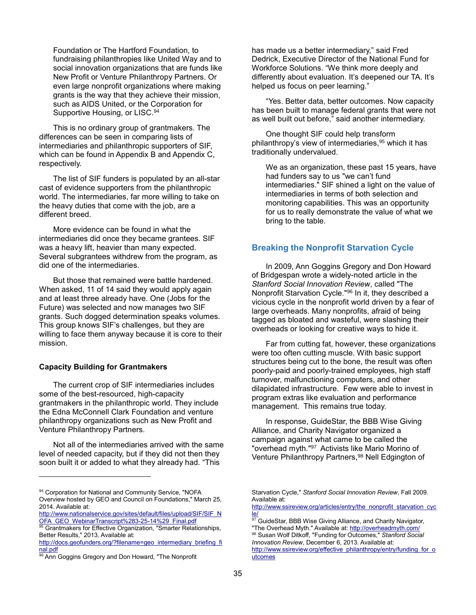Foundation or The Hartford Foundation, to fundraising philanthropies like United Way and to social innovation organizations that are funds like New Profit or Venture Philanthropy Partners. Or even large nonprofit organizations where making grants is the way that they achieve their mission, such as AIDS United, or the Corporation for Supportive Housing, or LISC.<sup>94</sup>

This is no ordinary group of grantmakers. The differences can be seen in comparing lists of intermediaries and philanthropic supporters of SIF, which can be found in Appendix B and Appendix C, respectively.

The list of SIF funders is populated by an all-star cast of evidence supporters from the philanthropic world. The intermediaries, far more willing to take on the heavy duties that come with the job, are a different breed.

More evidence can be found in what the intermediaries did once they became grantees. SIF was a heavy lift, heavier than many expected. Several subgrantees withdrew from the program, as did one of the intermediaries.

But those that remained were battle hardened. When asked, 11 of 14 said they would apply again and at least three already have. One (Jobs for the Future) was selected and now manages two SIF grants. Such dogged determination speaks volumes. This group knows SIF's challenges, but they are willing to face them anyway because it is core to their mission.

#### **Capacity Building for Grantmakers**

l

The current crop of SIF intermediaries includes some of the best-resourced, high-capacity grantmakers in the philanthropic world. They include the Edna McConnell Clark Foundation and venture philanthropy organizations such as New Profit and Venture Philanthropy Partners.

Not all of the intermediaries arrived with the same level of needed capacity, but if they did not then they soon built it or added to what they already had. "This

has made us a better intermediary," said Fred Dedrick, Executive Director of the National Fund for Workforce Solutions. "We think more deeply and differently about evaluation. It's deepened our TA. It's helped us focus on peer learning."

"Yes. Better data, better outcomes. Now capacity has been built to manage federal grants that were not as well built out before," said another intermediary.

One thought SIF could help transform philanthropy's view of intermediaries, <sup>95</sup> which it has traditionally undervalued.

We as an organization, these past 15 years, have had funders say to us "we can't fund intermediaries." SIF shined a light on the value of intermediaries in terms of both selection and monitoring capabilities. This was an opportunity for us to really demonstrate the value of what we bring to the table.

#### **Breaking the Nonprofit Starvation Cycle**

In 2009, Ann Goggins Gregory and Don Howard of Bridgespan wrote a widely-noted article in the *Stanford Social Innovation Review*, called "The Nonprofit Starvation Cycle."<sup>96</sup> In it, they described a vicious cycle in the nonprofit world driven by a fear of large overheads. Many nonprofits, afraid of being tagged as bloated and wasteful, were slashing their overheads or looking for creative ways to hide it.

Far from cutting fat, however, these organizations were too often cutting muscle. With basic support structures being cut to the bone, the result was often poorly-paid and poorly-trained employees, high staff turnover, malfunctioning computers, and other dilapidated infrastructure. Few were able to invest in program extras like evaluation and performance management. This remains true today.

In response, GuideStar, the BBB Wise Giving Alliance, and Charity Navigator organized a campaign against what came to be called the "overhead myth."<sup>97</sup> Activists like Mario Morino of Venture Philanthropy Partners,<sup>98</sup> Nell Edgington of

<sup>94</sup> Corporation for National and Community Service, "NOFA Overview hosted by GEO and Council on Foundations," March 25, 2014. Available at:

[http://www.nationalservice.gov/sites/default/files/upload/SIF/SIF\\_N](http://www.nationalservice.gov/sites/default/files/upload/SIF/SIF_NOFA_GEO_WebinarTranscript%283-25-14%29_Final.pdf) [OFA\\_GEO\\_WebinarTranscript%283-25-14%29\\_Final.pdf](http://www.nationalservice.gov/sites/default/files/upload/SIF/SIF_NOFA_GEO_WebinarTranscript%283-25-14%29_Final.pdf)

<sup>&</sup>lt;sup>95</sup> Grantmakers for Effective Organization, "Smarter Relationships, Better Results," 2013. Available at:

[http://docs.geofunders.org/?filename=geo\\_intermediary\\_briefing\\_fi](http://docs.geofunders.org/?filename=geo_intermediary_briefing_final.pdf) [nal.pdf](http://docs.geofunders.org/?filename=geo_intermediary_briefing_final.pdf)

<sup>&</sup>lt;sup>96</sup> Ann Goggins Gregory and Don Howard, "The Nonprofit

Starvation Cycle," *Stanford Social Innovation Review*, Fall 2009. Available at:

[http://www.ssireview.org/articles/entry/the\\_nonprofit\\_starvation\\_cyc](http://www.ssireview.org/articles/entry/the_nonprofit_starvation_cycle/) [le/](http://www.ssireview.org/articles/entry/the_nonprofit_starvation_cycle/)

<sup>97</sup> GuideStar, BBB Wise Giving Alliance, and Charity Navigator,

<sup>&</sup>quot;The Overhead Myth." Available at:<http://overheadmyth.com/> <sup>98</sup> Susan Wolf Ditkoff, "Funding for Outcomes," *Stanford Social Innovation Review*, December 6, 2013. Available at:

[http://www.ssireview.org/effective\\_philanthropy/entry/funding\\_for\\_o](http://www.ssireview.org/effective_philanthropy/entry/funding_for_outcomes) [utcomes](http://www.ssireview.org/effective_philanthropy/entry/funding_for_outcomes)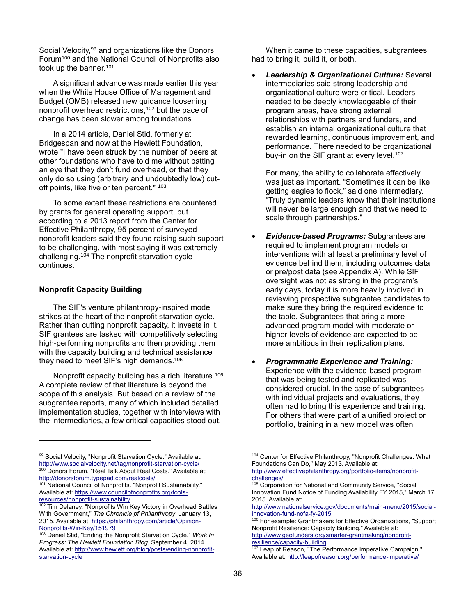Social Velocity, <sup>99</sup> and organizations like the Donors Forum<sup>100</sup> and the National Council of Nonprofits also took up the banner.<sup>101</sup>

A significant advance was made earlier this year when the White House Office of Management and Budget (OMB) released new guidance loosening nonprofit overhead restrictions,<sup>102</sup> but the pace of change has been slower among foundations.

In a 2014 article, Daniel Stid, formerly at Bridgespan and now at the Hewlett Foundation, wrote "I have been struck by the number of peers at other foundations who have told me without batting an eye that they don't fund overhead, or that they only do so using (arbitrary and undoubtedly low) cutoff points, like five or ten percent." 103

To some extent these restrictions are countered by grants for general operating support, but according to a 2013 report from the Center for Effective Philanthropy, 95 percent of surveyed nonprofit leaders said they found raising such support to be challenging, with most saying it was extremely challenging.<sup>104</sup> The nonprofit starvation cycle continues.

#### **Nonprofit Capacity Building**

l

The SIF's venture philanthropy-inspired model strikes at the heart of the nonprofit starvation cycle. Rather than cutting nonprofit capacity, it invests in it. SIF grantees are tasked with competitively selecting high-performing nonprofits and then providing them with the capacity building and technical assistance they need to meet SIF's high demands.<sup>105</sup>

Nonprofit capacity building has a rich literature. 106 A complete review of that literature is beyond the scope of this analysis. But based on a review of the subgrantee reports, many of which included detailed implementation studies, together with interviews with the intermediaries, a few critical capacities stood out.

99 Social Velocity, "Nonprofit Starvation Cycle." Available at: <http://www.socialvelocity.net/tag/nonprofit-starvation-cycle/><br><sup>100</sup> Dopors Forum "Deel T-II: About Dari Detailed"

Donors Forum, "Real Talk About Real Costs." Available at: <http://donorsforum.typepad.com/realcosts/>

101 National Council of Nonprofits. "Nonprofit Sustainability." Available at: [https://www.councilofnonprofits.org/tools](https://www.councilofnonprofits.org/tools-resources/nonprofit-sustainability)[resources/nonprofit-sustainability](https://www.councilofnonprofits.org/tools-resources/nonprofit-sustainability)

When it came to these capacities, subgrantees had to bring it, build it, or both.

 *Leadership & Organizational Culture:* Several intermediaries said strong leadership and organizational culture were critical. Leaders needed to be deeply knowledgeable of their program areas, have strong external relationships with partners and funders, and establish an internal organizational culture that rewarded learning, continuous improvement, and performance. There needed to be organizational buy-in on the SIF grant at every level.<sup>107</sup>

For many, the ability to collaborate effectively was just as important. "Sometimes it can be like getting eagles to flock," said one intermediary. "Truly dynamic leaders know that their institutions will never be large enough and that we need to scale through partnerships."

- *Evidence-based Programs:* Subgrantees are required to implement program models or interventions with at least a preliminary level of evidence behind them, including outcomes data or pre/post data (see Appendix A). While SIF oversight was not as strong in the program's early days, today it is more heavily involved in reviewing prospective subgrantee candidates to make sure they bring the required evidence to the table. Subgrantees that bring a more advanced program model with moderate or higher levels of evidence are expected to be more ambitious in their replication plans.
- *Programmatic Experience and Training:* Experience with the evidence-based program that was being tested and replicated was considered crucial. In the case of subgrantees with individual projects and evaluations, they often had to bring this experience and training. For others that were part of a unified project or portfolio, training in a new model was often

<sup>105</sup> Corporation for National and Community Service, "Social Innovation Fund Notice of Funding Availability FY 2015," March 17, 2015. Available at:

[http://www.nationalservice.gov/documents/main-menu/2015/social](http://www.nationalservice.gov/documents/main-menu/2015/social-innovation-fund-nofa-fy-2015)[innovation-fund-nofa-fy-2015](http://www.nationalservice.gov/documents/main-menu/2015/social-innovation-fund-nofa-fy-2015)

<sup>106</sup> For example: Grantmakers for Effective Organizations, "Support Nonprofit Resilience: Capacity Building." Available at: [http://www.geofunders.org/smarter-grantmaking/nonprofit-](http://www.geofunders.org/smarter-grantmaking/nonprofit-resilience/capacity-building)

[resilience/capacity-building](http://www.geofunders.org/smarter-grantmaking/nonprofit-resilience/capacity-building)<br>107 Leap of D

Tim Delaney, "Nonprofits Win Key Victory in Overhead Battles With Government," *The Chronicle pf Philanthropy*, January 13, 2015. Available at: [https://philanthropy.com/article/Opinion-](https://philanthropy.com/article/Opinion-Nonprofits-Win-Key/151979)[Nonprofits-Win-Key/151979](https://philanthropy.com/article/Opinion-Nonprofits-Win-Key/151979)

<sup>103</sup> Daniel Stid, "Ending the Nonprofit Starvation Cycle," *Work In Progress: The Hewlett Foundation Blog*, September 4, 2014. Available at: [http://www.hewlett.org/blog/posts/ending-nonprofit](http://www.hewlett.org/blog/posts/ending-nonprofit-starvation-cycle)[starvation-cycle](http://www.hewlett.org/blog/posts/ending-nonprofit-starvation-cycle)

<sup>104</sup> Center for Effective Philanthropy, "Nonprofit Challenges: What Foundations Can Do," May 2013. Available at:

[http://www.effectivephilanthropy.org/portfolio-items/nonprofit](http://www.effectivephilanthropy.org/portfolio-items/nonprofit-challenges/)[challenges/](http://www.effectivephilanthropy.org/portfolio-items/nonprofit-challenges/)

Leap of Reason, "The Performance Imperative Campaign." Available at[: http://leapofreason.org/performance-imperative/](http://leapofreason.org/performance-imperative/)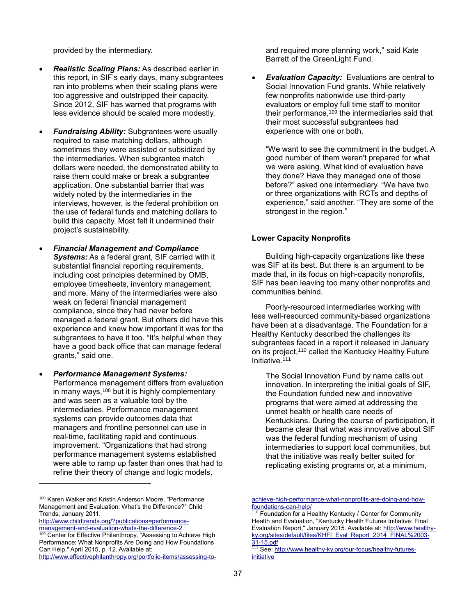provided by the intermediary.

- *Realistic Scaling Plans:* As described earlier in this report, in SIF's early days, many subgrantees ran into problems when their scaling plans were too aggressive and outstripped their capacity. Since 2012, SIF has warned that programs with less evidence should be scaled more modestly.
- *Fundraising Ability:* Subgrantees were usually required to raise matching dollars, although sometimes they were assisted or subsidized by the intermediaries. When subgrantee match dollars were needed, the demonstrated ability to raise them could make or break a subgrantee application. One substantial barrier that was widely noted by the intermediaries in the interviews, however, is the federal prohibition on the use of federal funds and matching dollars to build this capacity. Most felt it undermined their project's sustainability.
- *Financial Management and Compliance Systems:* As a federal grant, SIF carried with it substantial financial reporting requirements, including cost principles determined by OMB, employee timesheets, inventory management, and more. Many of the intermediaries were also weak on federal financial management compliance, since they had never before managed a federal grant. But others did have this experience and knew how important it was for the subgrantees to have it too. "It's helpful when they have a good back office that can manage federal grants," said one.
- *Performance Management Systems:* Performance management differs from evaluation in many ways,  $108$  but it is highly complementary and was seen as a valuable tool by the intermediaries. Performance management systems can provide outcomes data that managers and frontline personnel can use in real-time, facilitating rapid and continuous improvement. "Organizations that had strong performance management systems established were able to ramp up faster than ones that had to refine their theory of change and logic models,

[http://www.childtrends.org/?publications=performance](http://www.childtrends.org/?publications=performance-management-and-evaluation-whats-the-difference-2)[management-and-evaluation-whats-the-difference-2](http://www.childtrends.org/?publications=performance-management-and-evaluation-whats-the-difference-2)

l

and required more planning work," said Kate Barrett of the GreenLight Fund.

 *Evaluation Capacity:* Evaluations are central to Social Innovation Fund grants. While relatively few nonprofits nationwide use third-party evaluators or employ full time staff to monitor their performance,<sup>109</sup> the intermediaries said that their most successful subgrantees had experience with one or both.

"We want to see the commitment in the budget. A good number of them weren't prepared for what we were asking. What kind of evaluation have they done? Have they managed one of those before?" asked one intermediary. "We have two or three organizations with RCTs and depths of experience," said another. "They are some of the strongest in the region."

#### **Lower Capacity Nonprofits**

Building high-capacity organizations like these was SIF at its best. But there is an argument to be made that, in its focus on high-capacity nonprofits, SIF has been leaving too many other nonprofits and communities behind.

Poorly-resourced intermediaries working with less well-resourced community-based organizations have been at a disadvantage. The Foundation for a Healthy Kentucky described the challenges its subgrantees faced in a report it released in January on its project,<sup>110</sup> called the Kentucky Healthy Future Initiative.<sup>111</sup>

The Social Innovation Fund by name calls out innovation. In interpreting the initial goals of SIF, the Foundation funded new and innovative programs that were aimed at addressing the unmet health or health care needs of Kentuckians. During the course of participation, it became clear that what was innovative about SIF was the federal funding mechanism of using intermediaries to support local communities, but that the initiative was really better suited for replicating existing programs or, at a minimum,

<sup>&</sup>lt;sup>108</sup> Karen Walker and Kristin Anderson Moore, "Performance Management and Evaluation: What's the Difference?" Child Trends, January 2011.

Center for Effective Philanthropy, "Assessing to Achieve High Performance: What Nonprofits Are Doing and How Foundations Can Help," April 2015, p. 12. Available at:

[http://www.effectivephilanthropy.org/portfolio-items/assessing-to-](http://www.effectivephilanthropy.org/portfolio-items/assessing-to-achieve-high-performance-what-nonprofits-are-doing-and-how-foundations-can-help/)

[achieve-high-performance-what-nonprofits-are-doing-and-how](http://www.effectivephilanthropy.org/portfolio-items/assessing-to-achieve-high-performance-what-nonprofits-are-doing-and-how-foundations-can-help/)[foundations-can-help/](http://www.effectivephilanthropy.org/portfolio-items/assessing-to-achieve-high-performance-what-nonprofits-are-doing-and-how-foundations-can-help/)

 $110$  Foundation for a Healthy Kentucky / Center for Community Health and Evaluation, "Kentucky Health Futures Initiative: Final Evaluation Report," January 2015. Available at: [http://www.healthy](http://www.healthy-ky.org/sites/default/files/KHFI_Eval_Report_2014_FINAL%2003-31-15.pdf)[ky.org/sites/default/files/KHFI\\_Eval\\_Report\\_2014\\_FINAL%2003-](http://www.healthy-ky.org/sites/default/files/KHFI_Eval_Report_2014_FINAL%2003-31-15.pdf) [31-15.pdf](http://www.healthy-ky.org/sites/default/files/KHFI_Eval_Report_2014_FINAL%2003-31-15.pdf)

<sup>111</sup> See[: http://www.healthy-ky.org/our-focus/healthy-futures](http://www.healthy-ky.org/our-focus/healthy-futures-initiative)[initiative](http://www.healthy-ky.org/our-focus/healthy-futures-initiative)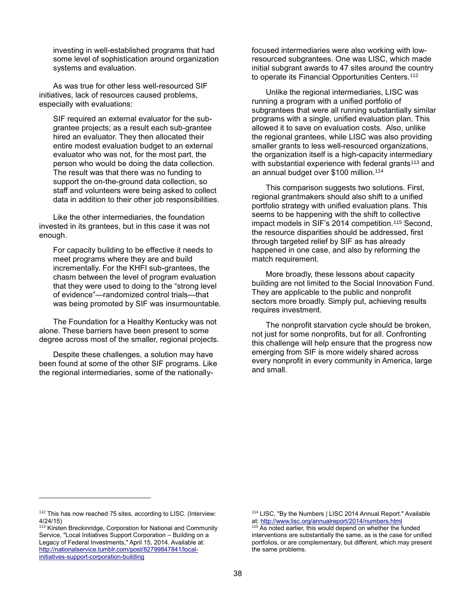investing in well-established programs that had some level of sophistication around organization systems and evaluation.

As was true for other less well-resourced SIF initiatives, lack of resources caused problems, especially with evaluations:

SIF required an external evaluator for the subgrantee projects; as a result each sub-grantee hired an evaluator. They then allocated their entire modest evaluation budget to an external evaluator who was not, for the most part, the person who would be doing the data collection. The result was that there was no funding to support the on-the-ground data collection, so staff and volunteers were being asked to collect data in addition to their other job responsibilities.

Like the other intermediaries, the foundation invested in its grantees, but in this case it was not enough.

For capacity building to be effective it needs to meet programs where they are and build incrementally. For the KHFI sub-grantees, the chasm between the level of program evaluation that they were used to doing to the "strong level of evidence"—randomized control trials—that was being promoted by SIF was insurmountable.

The Foundation for a Healthy Kentucky was not alone. These barriers have been present to some degree across most of the smaller, regional projects.

Despite these challenges, a solution may have been found at some of the other SIF programs. Like the regional intermediaries, some of the nationallyfocused intermediaries were also working with lowresourced subgrantees. One was LISC, which made initial subgrant awards to 47 sites around the country to operate its Financial Opportunities Centers.<sup>112</sup>

Unlike the regional intermediaries, LISC was running a program with a unified portfolio of subgrantees that were all running substantially similar programs with a single, unified evaluation plan. This allowed it to save on evaluation costs. Also, unlike the regional grantees, while LISC was also providing smaller grants to less well-resourced organizations, the organization itself is a high-capacity intermediary with substantial experience with federal grants<sup>113</sup> and an annual budget over \$100 million.<sup>114</sup>

This comparison suggests two solutions. First, regional grantmakers should also shift to a unified portfolio strategy with unified evaluation plans. This seems to be happening with the shift to collective impact models in SIF's 2014 competition.<sup>115</sup> Second. the resource disparities should be addressed, first through targeted relief by SIF as has already happened in one case, and also by reforming the match requirement.

More broadly, these lessons about capacity building are not limited to the Social Innovation Fund. They are applicable to the public and nonprofit sectors more broadly. Simply put, achieving results requires investment.

The nonprofit starvation cycle should be broken, not just for some nonprofits, but for all. Confronting this challenge will help ensure that the progress now emerging from SIF is more widely shared across every nonprofit in every community in America, large and small.

l

<sup>112</sup> This has now reached 75 sites, according to LISC. (Interview: 4/24/15)

<sup>&</sup>lt;sup>113</sup> Kirsten Breckinridge, Corporation for National and Community Service, "Local Initiatives Support Corporation – Building on a Legacy of Federal Investments," April 15, 2014. Available at: [http://nationalservice.tumblr.com/post/82799847841/local](http://nationalservice.tumblr.com/post/82799847841/local-initiatives-support-corporation-building)[initiatives-support-corporation-building](http://nationalservice.tumblr.com/post/82799847841/local-initiatives-support-corporation-building)

<sup>114</sup> LISC, "By the Numbers | LISC 2014 Annual Report." Available at:<http://www.lisc.org/annualreport/2014/numbers.html>

<sup>&</sup>lt;sup>115</sup> As noted earlier, this would depend on whether the funded interventions are substantially the same, as is the case for unified portfolios, or are complementary, but different, which may present the same problems.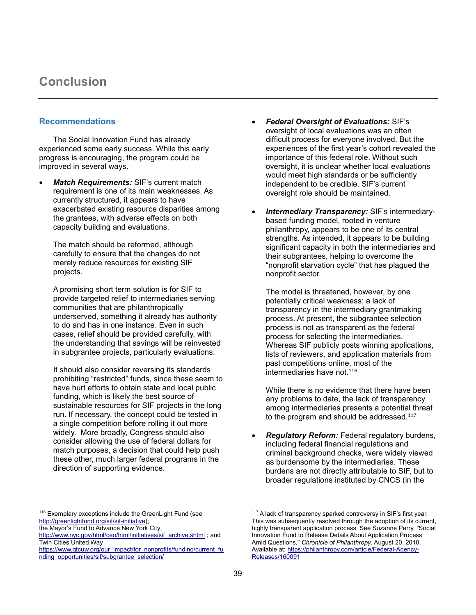## **Conclusion**

## **Recommendations**

The Social Innovation Fund has already experienced some early success. While this early progress is encouraging, the program could be improved in several ways.

 *Match Requirements:* SIF's current match requirement is one of its main weaknesses. As currently structured, it appears to have exacerbated existing resource disparities among the grantees, with adverse effects on both capacity building and evaluations.

The match should be reformed, although carefully to ensure that the changes do not merely reduce resources for existing SIF projects.

A promising short term solution is for SIF to provide targeted relief to intermediaries serving communities that are philanthropically underserved, something it already has authority to do and has in one instance. Even in such cases, relief should be provided carefully, with the understanding that savings will be reinvested in subgrantee projects, particularly evaluations.

It should also consider reversing its standards prohibiting "restricted" funds, since these seem to have hurt efforts to obtain state and local public funding, which is likely the best source of sustainable resources for SIF projects in the long run. If necessary, the concept could be tested in a single competition before rolling it out more widely. More broadly, Congress should also consider allowing the use of federal dollars for match purposes, a decision that could help push these other, much larger federal programs in the direction of supporting evidence.

- *Federal Oversight of Evaluations:* SIF's oversight of local evaluations was an often difficult process for everyone involved. But the experiences of the first year's cohort revealed the importance of this federal role. Without such oversight, it is unclear whether local evaluations would meet high standards or be sufficiently independent to be credible. SIF's current oversight role should be maintained.
- *Intermediary Transparency:* SIF's intermediarybased funding model, rooted in venture philanthropy, appears to be one of its central strengths. As intended, it appears to be building significant capacity in both the intermediaries and their subgrantees, helping to overcome the "nonprofit starvation cycle" that has plagued the nonprofit sector.

The model is threatened, however, by one potentially critical weakness: a lack of transparency in the intermediary grantmaking process. At present, the subgrantee selection process is not as transparent as the federal process for selecting the intermediaries. Whereas SIF publicly posts winning applications, lists of reviewers, and application materials from past competitions online, most of the intermediaries have not.<sup>116</sup>

While there is no evidence that there have been any problems to date, the lack of transparency among intermediaries presents a potential threat to the program and should be addressed.<sup>117</sup>

 *Regulatory Reform:* Federal regulatory burdens, including federal financial regulations and criminal background checks, were widely viewed as burdensome by the intermediaries. These burdens are not directly attributable to SIF, but to broader regulations instituted by CNCS (in the

l

<sup>&</sup>lt;sup>116</sup> Exemplary exceptions include the GreenLight Fund (see [http://greenlightfund.org/sif/sif-initiative\)](http://greenlightfund.org/sif/sif-initiative);

the Mayor's Fund to Advance New York City,

[http://www.nyc.gov/html/ceo/html/initiatives/sif\\_archive.shtml](http://www.nyc.gov/html/ceo/html/initiatives/sif_archive.shtml) ; and Twin Cities United Way

[https://www.gtcuw.org/our\\_impact/for\\_nonprofits/funding/current\\_fu](https://www.gtcuw.org/our_impact/for_nonprofits/funding/current_funding_opportunities/sif/subgrantee_selection/) [nding\\_opportunities/sif/subgrantee\\_selection/](https://www.gtcuw.org/our_impact/for_nonprofits/funding/current_funding_opportunities/sif/subgrantee_selection/)

<sup>&</sup>lt;sup>117</sup> A lack of transparency sparked controversy in SIF's first year. This was subsequently resolved through the adoption of its current, highly transparent application process. See Suzanne Perry, "Social Innovation Fund to Release Details About Application Process Amid Questions," *Chronicle of Philanthropy*, August 20, 2010. Available at[: https://philanthropy.com/article/Federal-Agency-](https://philanthropy.com/article/Federal-Agency-Releases/160091)[Releases/160091](https://philanthropy.com/article/Federal-Agency-Releases/160091)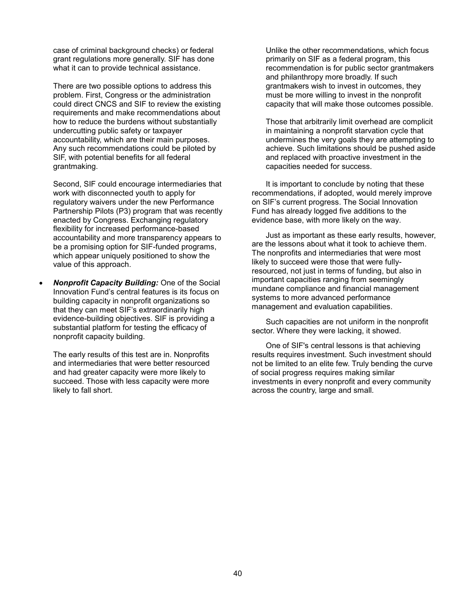case of criminal background checks) or federal grant regulations more generally. SIF has done what it can to provide technical assistance.

There are two possible options to address this problem. First, Congress or the administration could direct CNCS and SIF to review the existing requirements and make recommendations about how to reduce the burdens without substantially undercutting public safety or taxpayer accountability, which are their main purposes. Any such recommendations could be piloted by SIF, with potential benefits for all federal grantmaking.

Second, SIF could encourage intermediaries that work with disconnected youth to apply for regulatory waivers under the new Performance Partnership Pilots (P3) program that was recently enacted by Congress. Exchanging regulatory flexibility for increased performance-based accountability and more transparency appears to be a promising option for SIF-funded programs, which appear uniquely positioned to show the value of this approach.

 *Nonprofit Capacity Building:* One of the Social Innovation Fund's central features is its focus on building capacity in nonprofit organizations so that they can meet SIF's extraordinarily high evidence-building objectives. SIF is providing a substantial platform for testing the efficacy of nonprofit capacity building.

The early results of this test are in. Nonprofits and intermediaries that were better resourced and had greater capacity were more likely to succeed. Those with less capacity were more likely to fall short.

Unlike the other recommendations, which focus primarily on SIF as a federal program, this recommendation is for public sector grantmakers and philanthropy more broadly. If such grantmakers wish to invest in outcomes, they must be more willing to invest in the nonprofit capacity that will make those outcomes possible.

Those that arbitrarily limit overhead are complicit in maintaining a nonprofit starvation cycle that undermines the very goals they are attempting to achieve. Such limitations should be pushed aside and replaced with proactive investment in the capacities needed for success.

It is important to conclude by noting that these recommendations, if adopted, would merely improve on SIF's current progress. The Social Innovation Fund has already logged five additions to the evidence base, with more likely on the way.

Just as important as these early results, however, are the lessons about what it took to achieve them. The nonprofits and intermediaries that were most likely to succeed were those that were fullyresourced, not just in terms of funding, but also in important capacities ranging from seemingly mundane compliance and financial management systems to more advanced performance management and evaluation capabilities.

Such capacities are not uniform in the nonprofit sector. Where they were lacking, it showed.

One of SIF's central lessons is that achieving results requires investment. Such investment should not be limited to an elite few. Truly bending the curve of social progress requires making similar investments in every nonprofit and every community across the country, large and small.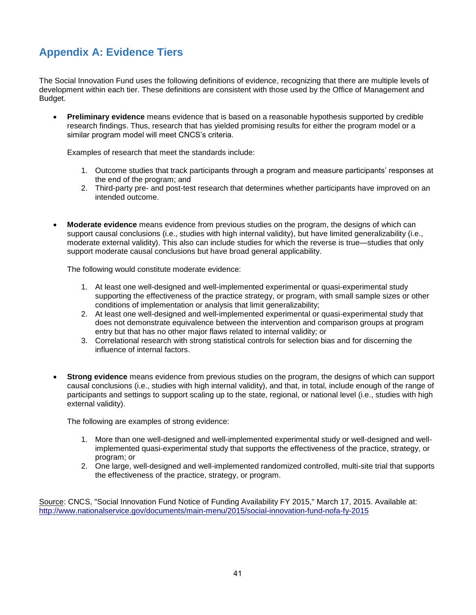## **Appendix A: Evidence Tiers**

The Social Innovation Fund uses the following definitions of evidence, recognizing that there are multiple levels of development within each tier. These definitions are consistent with those used by the Office of Management and Budget.

**Preliminary evidence** means evidence that is based on a reasonable hypothesis supported by credible research findings. Thus, research that has yielded promising results for either the program model or a similar program model will meet CNCS's criteria.

Examples of research that meet the standards include:

- 1. Outcome studies that track participants through a program and measure participants' responses at the end of the program; and
- 2. Third-party pre- and post-test research that determines whether participants have improved on an intended outcome.
- **Moderate evidence** means evidence from previous studies on the program, the designs of which can support causal conclusions (i.e., studies with high internal validity), but have limited generalizability (i.e., moderate external validity). This also can include studies for which the reverse is true—studies that only support moderate causal conclusions but have broad general applicability.

The following would constitute moderate evidence:

- 1. At least one well-designed and well-implemented experimental or quasi-experimental study supporting the effectiveness of the practice strategy, or program, with small sample sizes or other conditions of implementation or analysis that limit generalizability;
- 2. At least one well-designed and well-implemented experimental or quasi-experimental study that does not demonstrate equivalence between the intervention and comparison groups at program entry but that has no other major flaws related to internal validity; or
- 3. Correlational research with strong statistical controls for selection bias and for discerning the influence of internal factors.
- **Strong evidence** means evidence from previous studies on the program, the designs of which can support causal conclusions (i.e., studies with high internal validity), and that, in total, include enough of the range of participants and settings to support scaling up to the state, regional, or national level (i.e., studies with high external validity).

The following are examples of strong evidence:

- 1. More than one well-designed and well-implemented experimental study or well-designed and wellimplemented quasi-experimental study that supports the effectiveness of the practice, strategy, or program; or
- 2. One large, well-designed and well-implemented randomized controlled, multi-site trial that supports the effectiveness of the practice, strategy, or program.

Source: CNCS, "Social Innovation Fund Notice of Funding Availability FY 2015," March 17, 2015. Available at: <http://www.nationalservice.gov/documents/main-menu/2015/social-innovation-fund-nofa-fy-2015>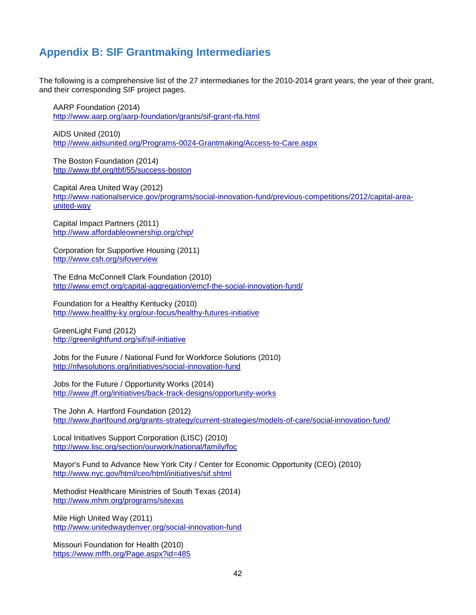## **Appendix B: SIF Grantmaking Intermediaries**

The following is a comprehensive list of the 27 intermediaries for the 2010-2014 grant years, the year of their grant, and their corresponding SIF project pages.

AARP Foundation (2014) <http://www.aarp.org/aarp-foundation/grants/sif-grant-rfa.html>

AIDS United (2010) <http://www.aidsunited.org/Programs-0024-Grantmaking/Access-to-Care.aspx>

The Boston Foundation (2014) <http://www.tbf.org/tbf/55/success-boston>

Capital Area United Way (2012) [http://www.nationalservice.gov/programs/social-innovation-fund/previous-competitions/2012/capital-area](http://www.nationalservice.gov/programs/social-innovation-fund/previous-competitions/2012/capital-area-united-way)[united-way](http://www.nationalservice.gov/programs/social-innovation-fund/previous-competitions/2012/capital-area-united-way)

Capital Impact Partners (2011) <http://www.affordableownership.org/chip/>

Corporation for Supportive Housing (2011) <http://www.csh.org/sifoverview>

The Edna McConnell Clark Foundation (2010) <http://www.emcf.org/capital-aggregation/emcf-the-social-innovation-fund/>

Foundation for a Healthy Kentucky (2010) <http://www.healthy-ky.org/our-focus/healthy-futures-initiative>

GreenLight Fund (2012) <http://greenlightfund.org/sif/sif-initiative>

Jobs for the Future / National Fund for Workforce Solutions (2010) <http://nfwsolutions.org/initiatives/social-innovation-fund>

Jobs for the Future / Opportunity Works (2014) <http://www.jff.org/initiatives/back-track-designs/opportunity-works>

The John A. Hartford Foundation (2012) <http://www.jhartfound.org/grants-strategy/current-strategies/models-of-care/social-innovation-fund/>

Local Initiatives Support Corporation (LISC) (2010) <http://www.lisc.org/section/ourwork/national/family/foc>

Mayor's Fund to Advance New York City / Center for Economic Opportunity (CEO) (2010) <http://www.nyc.gov/html/ceo/html/initiatives/sif.shtml>

Methodist Healthcare Ministries of South Texas (2014) <http://www.mhm.org/programs/sitexas>

Mile High United Way (2011) <http://www.unitedwaydenver.org/social-innovation-fund>

Missouri Foundation for Health (2010) <https://www.mffh.org/Page.aspx?id=485>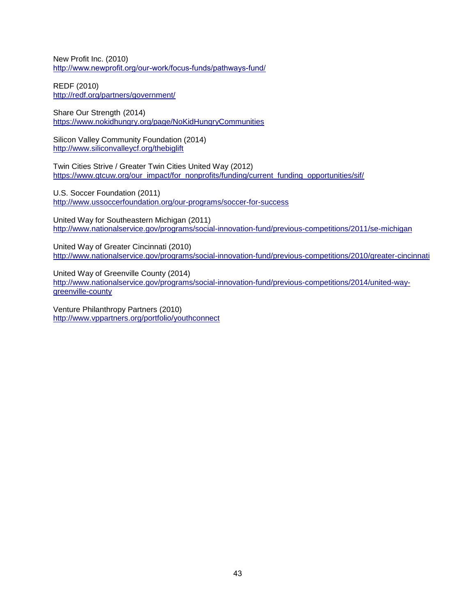New Profit Inc. (2010) <http://www.newprofit.org/our-work/focus-funds/pathways-fund/>

REDF (2010) <http://redf.org/partners/government/>

Share Our Strength (2014) <https://www.nokidhungry.org/page/NoKidHungryCommunities>

Silicon Valley Community Foundation (2014) <http://www.siliconvalleycf.org/thebiglift>

Twin Cities Strive / Greater Twin Cities United Way (2012) [https://www.gtcuw.org/our\\_impact/for\\_nonprofits/funding/current\\_funding\\_opportunities/sif/](https://www.gtcuw.org/our_impact/for_nonprofits/funding/current_funding_opportunities/sif/)

U.S. Soccer Foundation (2011) <http://www.ussoccerfoundation.org/our-programs/soccer-for-success>

United Way for Southeastern Michigan (2011) <http://www.nationalservice.gov/programs/social-innovation-fund/previous-competitions/2011/se-michigan>

United Way of Greater Cincinnati (2010) <http://www.nationalservice.gov/programs/social-innovation-fund/previous-competitions/2010/greater-cincinnati>

United Way of Greenville County (2014) [http://www.nationalservice.gov/programs/social-innovation-fund/previous-competitions/2014/united-way](http://www.nationalservice.gov/programs/social-innovation-fund/previous-competitions/2014/united-way-greenville-county)[greenville-county](http://www.nationalservice.gov/programs/social-innovation-fund/previous-competitions/2014/united-way-greenville-county)

Venture Philanthropy Partners (2010) <http://www.vppartners.org/portfolio/youthconnect>